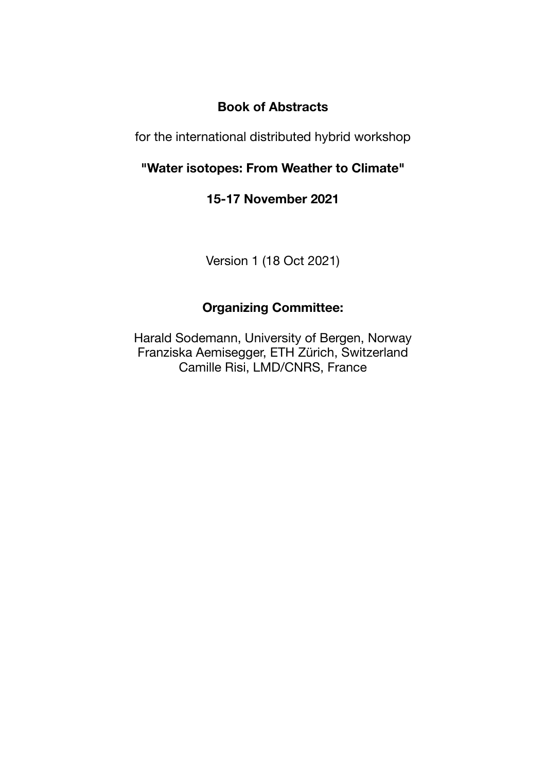# **Book of Abstracts**

for the international distributed hybrid workshop

# **"Water isotopes: From Weather to Climate"**

# **15-17 November 2021**

Version 1 (18 Oct 2021)

# **Organizing Committee:**

Harald Sodemann, University of Bergen, Norway Franziska Aemisegger, ETH Zürich, Switzerland Camille Risi, LMD/CNRS, France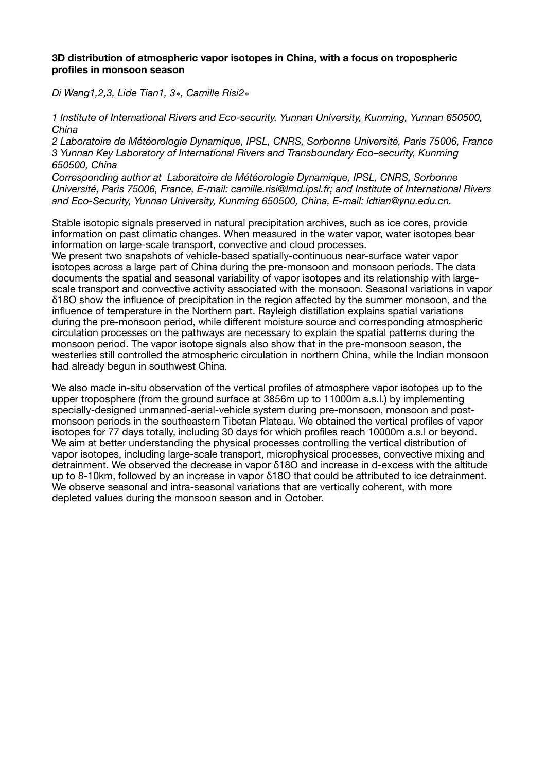# **3D distribution of atmospheric vapor isotopes in China, with a focus on tropospheric profiles in monsoon season**

*Di Wang1,2,3, Lide Tian1, 3*∗*, Camille Risi2*∗

*1 Institute of International Rivers and Eco-security, Yunnan University, Kunming, Yunnan 650500, China* 

*2 Laboratoire de Météorologie Dynamique, IPSL, CNRS, Sorbonne Université, Paris 75006, France 3 Yunnan Key Laboratory of International Rivers and Transboundary Eco–security, Kunming 650500, China* 

*Corresponding author at Laboratoire de Météorologie Dynamique, IPSL, CNRS, Sorbonne Université, Paris 75006, France, E-mail: camille.risi@lmd.ipsl.fr; and Institute of International Rivers and Eco-Security, Yunnan University, Kunming 650500, China, E-mail: ldtian@ynu.edu.cn.*

Stable isotopic signals preserved in natural precipitation archives, such as ice cores, provide information on past climatic changes. When measured in the water vapor, water isotopes bear information on large-scale transport, convective and cloud processes.

We present two snapshots of vehicle-based spatially-continuous near-surface water vapor isotopes across a large part of China during the pre-monsoon and monsoon periods. The data documents the spatial and seasonal variability of vapor isotopes and its relationship with largescale transport and convective activity associated with the monsoon. Seasonal variations in vapor δ18O show the influence of precipitation in the region affected by the summer monsoon, and the influence of temperature in the Northern part. Rayleigh distillation explains spatial variations during the pre-monsoon period, while different moisture source and corresponding atmospheric circulation processes on the pathways are necessary to explain the spatial patterns during the monsoon period. The vapor isotope signals also show that in the pre-monsoon season, the westerlies still controlled the atmospheric circulation in northern China, while the Indian monsoon had already begun in southwest China.

We also made in-situ observation of the vertical profiles of atmosphere vapor isotopes up to the upper troposphere (from the ground surface at 3856m up to 11000m a.s.l.) by implementing specially-designed unmanned-aerial-vehicle system during pre-monsoon, monsoon and postmonsoon periods in the southeastern Tibetan Plateau. We obtained the vertical profiles of vapor isotopes for 77 days totally, including 30 days for which profiles reach 10000m a.s.l or beyond. We aim at better understanding the physical processes controlling the vertical distribution of vapor isotopes, including large-scale transport, microphysical processes, convective mixing and detrainment. We observed the decrease in vapor δ18O and increase in d-excess with the altitude up to 8-10km, followed by an increase in vapor δ18O that could be attributed to ice detrainment. We observe seasonal and intra-seasonal variations that are vertically coherent, with more depleted values during the monsoon season and in October.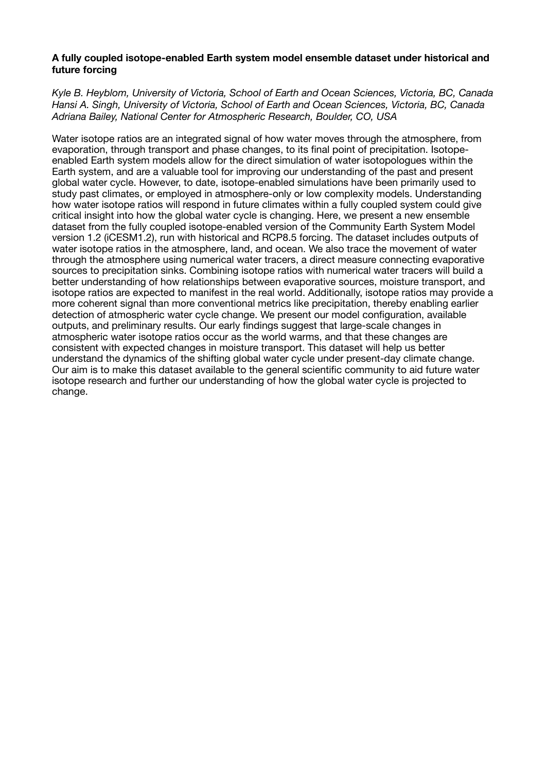# **A fully coupled isotope-enabled Earth system model ensemble dataset under historical and future forcing**

*Kyle B. Heyblom, University of Victoria, School of Earth and Ocean Sciences, Victoria, BC, Canada Hansi A. Singh, University of Victoria, School of Earth and Ocean Sciences, Victoria, BC, Canada Adriana Bailey, National Center for Atmospheric Research, Boulder, CO, USA*

Water isotope ratios are an integrated signal of how water moves through the atmosphere, from evaporation, through transport and phase changes, to its final point of precipitation. Isotopeenabled Earth system models allow for the direct simulation of water isotopologues within the Earth system, and are a valuable tool for improving our understanding of the past and present global water cycle. However, to date, isotope-enabled simulations have been primarily used to study past climates, or employed in atmosphere-only or low complexity models. Understanding how water isotope ratios will respond in future climates within a fully coupled system could give critical insight into how the global water cycle is changing. Here, we present a new ensemble dataset from the fully coupled isotope-enabled version of the Community Earth System Model version 1.2 (iCESM1.2), run with historical and RCP8.5 forcing. The dataset includes outputs of water isotope ratios in the atmosphere, land, and ocean. We also trace the movement of water through the atmosphere using numerical water tracers, a direct measure connecting evaporative sources to precipitation sinks. Combining isotope ratios with numerical water tracers will build a better understanding of how relationships between evaporative sources, moisture transport, and isotope ratios are expected to manifest in the real world. Additionally, isotope ratios may provide a more coherent signal than more conventional metrics like precipitation, thereby enabling earlier detection of atmospheric water cycle change. We present our model configuration, available outputs, and preliminary results. Our early findings suggest that large-scale changes in atmospheric water isotope ratios occur as the world warms, and that these changes are consistent with expected changes in moisture transport. This dataset will help us better understand the dynamics of the shifting global water cycle under present-day climate change. Our aim is to make this dataset available to the general scientific community to aid future water isotope research and further our understanding of how the global water cycle is projected to change.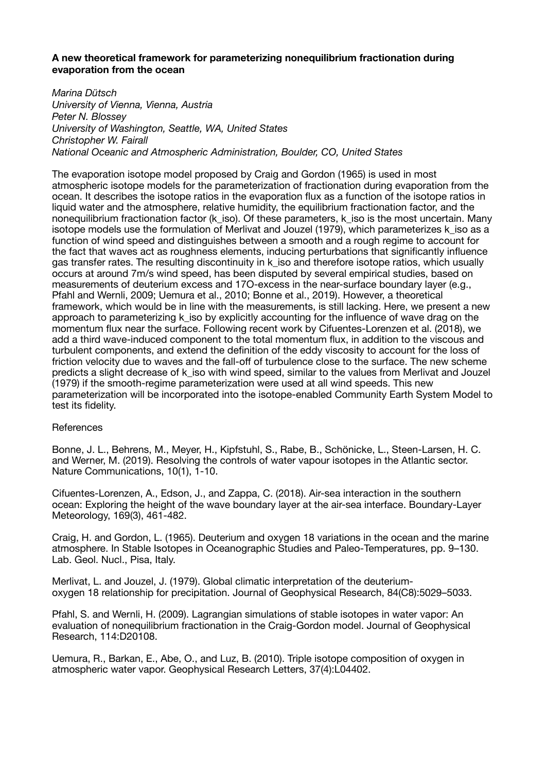# **A new theoretical framework for parameterizing nonequilibrium fractionation during evaporation from the ocean**

*Marina Dütsch University of Vienna, Vienna, Austria Peter N. Blossey University of Washington, Seattle, WA, United States Christopher W. Fairall National Oceanic and Atmospheric Administration, Boulder, CO, United States*

The evaporation isotope model proposed by Craig and Gordon (1965) is used in most atmospheric isotope models for the parameterization of fractionation during evaporation from the ocean. It describes the isotope ratios in the evaporation flux as a function of the isotope ratios in liquid water and the atmosphere, relative humidity, the equilibrium fractionation factor, and the nonequilibrium fractionation factor (k iso). Of these parameters, k iso is the most uncertain. Many isotope models use the formulation of Merlivat and Jouzel (1979), which parameterizes k\_iso as a function of wind speed and distinguishes between a smooth and a rough regime to account for the fact that waves act as roughness elements, inducing perturbations that significantly influence gas transfer rates. The resulting discontinuity in k iso and therefore isotope ratios, which usually occurs at around 7m/s wind speed, has been disputed by several empirical studies, based on measurements of deuterium excess and 17O-excess in the near-surface boundary layer (e.g., Pfahl and Wernli, 2009; Uemura et al., 2010; Bonne et al., 2019). However, a theoretical framework, which would be in line with the measurements, is still lacking. Here, we present a new approach to parameterizing k iso by explicitly accounting for the influence of wave drag on the momentum flux near the surface. Following recent work by Cifuentes-Lorenzen et al. (2018), we add a third wave-induced component to the total momentum flux, in addition to the viscous and turbulent components, and extend the definition of the eddy viscosity to account for the loss of friction velocity due to waves and the fall-off of turbulence close to the surface. The new scheme predicts a slight decrease of k\_iso with wind speed, similar to the values from Merlivat and Jouzel (1979) if the smooth-regime parameterization were used at all wind speeds. This new parameterization will be incorporated into the isotope-enabled Community Earth System Model to test its fidelity.

# **References**

Bonne, J. L., Behrens, M., Meyer, H., Kipfstuhl, S., Rabe, B., Schönicke, L., Steen-Larsen, H. C. and Werner, M. (2019). Resolving the controls of water vapour isotopes in the Atlantic sector. Nature Communications, 10(1), 1-10.

Cifuentes-Lorenzen, A., Edson, J., and Zappa, C. (2018). Air-sea interaction in the southern ocean: Exploring the height of the wave boundary layer at the air-sea interface. Boundary-Layer Meteorology, 169(3), 461-482.

Craig, H. and Gordon, L. (1965). Deuterium and oxygen 18 variations in the ocean and the marine atmosphere. In Stable Isotopes in Oceanographic Studies and Paleo-Temperatures, pp. 9–130. Lab. Geol. Nucl., Pisa, Italy.

Merlivat, L. and Jouzel, J. (1979). Global climatic interpretation of the deuteriumoxygen 18 relationship for precipitation. Journal of Geophysical Research, 84(C8):5029–5033.

Pfahl, S. and Wernli, H. (2009). Lagrangian simulations of stable isotopes in water vapor: An evaluation of nonequilibrium fractionation in the Craig-Gordon model. Journal of Geophysical Research, 114:D20108.

Uemura, R., Barkan, E., Abe, O., and Luz, B. (2010). Triple isotope composition of oxygen in atmospheric water vapor. Geophysical Research Letters, 37(4):L04402.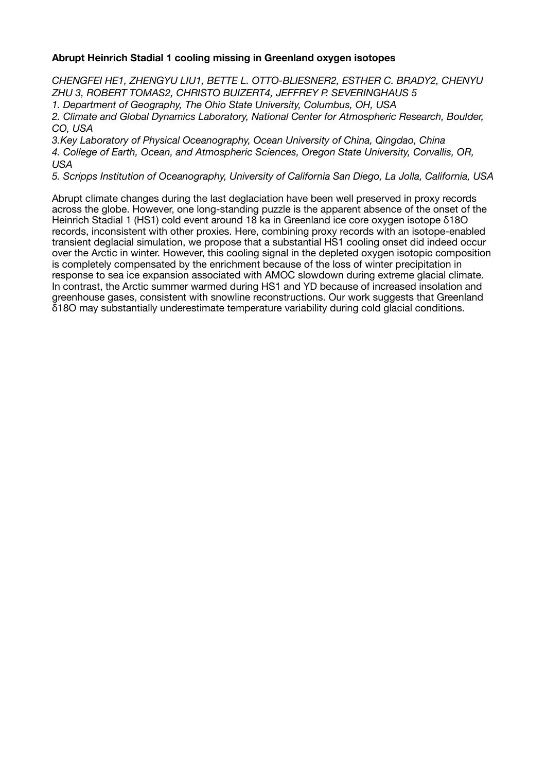# **Abrupt Heinrich Stadial 1 cooling missing in Greenland oxygen isotopes**

*CHENGFEI HE1, ZHENGYU LIU1, BETTE L. OTTO-BLIESNER2, ESTHER C. BRADY2, CHENYU ZHU 3, ROBERT TOMAS2, CHRISTO BUIZERT4, JEFFREY P. SEVERINGHAUS 5* 

*1. Department of Geography, The Ohio State University, Columbus, OH, USA* 

*2. Climate and Global Dynamics Laboratory, National Center for Atmospheric Research, Boulder, CO, USA* 

*3.Key Laboratory of Physical Oceanography, Ocean University of China, Qingdao, China* 

*4. College of Earth, Ocean, and Atmospheric Sciences, Oregon State University, Corvallis, OR, USA* 

*5. Scripps Institution of Oceanography, University of California San Diego, La Jolla, California, USA*

Abrupt climate changes during the last deglaciation have been well preserved in proxy records across the globe. However, one long-standing puzzle is the apparent absence of the onset of the Heinrich Stadial 1 (HS1) cold event around 18 ka in Greenland ice core oxygen isotope δ18O records, inconsistent with other proxies. Here, combining proxy records with an isotope-enabled transient deglacial simulation, we propose that a substantial HS1 cooling onset did indeed occur over the Arctic in winter. However, this cooling signal in the depleted oxygen isotopic composition is completely compensated by the enrichment because of the loss of winter precipitation in response to sea ice expansion associated with AMOC slowdown during extreme glacial climate. In contrast, the Arctic summer warmed during HS1 and YD because of increased insolation and greenhouse gases, consistent with snowline reconstructions. Our work suggests that Greenland δ18O may substantially underestimate temperature variability during cold glacial conditions.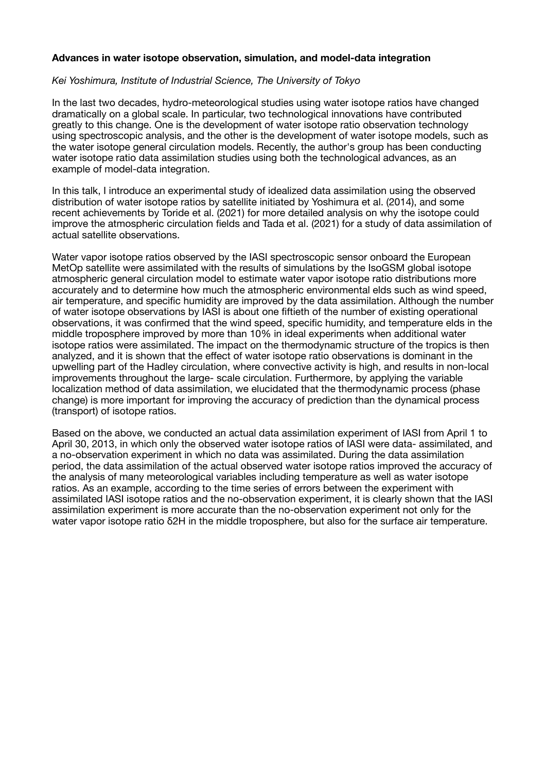## **Advances in water isotope observation, simulation, and model-data integration**

# *Kei Yoshimura, Institute of Industrial Science, The University of Tokyo*

In the last two decades, hydro-meteorological studies using water isotope ratios have changed dramatically on a global scale. In particular, two technological innovations have contributed greatly to this change. One is the development of water isotope ratio observation technology using spectroscopic analysis, and the other is the development of water isotope models, such as the water isotope general circulation models. Recently, the author's group has been conducting water isotope ratio data assimilation studies using both the technological advances, as an example of model-data integration.

In this talk, I introduce an experimental study of idealized data assimilation using the observed distribution of water isotope ratios by satellite initiated by Yoshimura et al. (2014), and some recent achievements by Toride et al. (2021) for more detailed analysis on why the isotope could improve the atmospheric circulation fields and Tada et al. (2021) for a study of data assimilation of actual satellite observations.

Water vapor isotope ratios observed by the IASI spectroscopic sensor onboard the European MetOp satellite were assimilated with the results of simulations by the IsoGSM global isotope atmospheric general circulation model to estimate water vapor isotope ratio distributions more accurately and to determine how much the atmospheric environmental elds such as wind speed, air temperature, and specific humidity are improved by the data assimilation. Although the number of water isotope observations by IASI is about one fiftieth of the number of existing operational observations, it was confirmed that the wind speed, specific humidity, and temperature elds in the middle troposphere improved by more than 10% in ideal experiments when additional water isotope ratios were assimilated. The impact on the thermodynamic structure of the tropics is then analyzed, and it is shown that the effect of water isotope ratio observations is dominant in the upwelling part of the Hadley circulation, where convective activity is high, and results in non-local improvements throughout the large- scale circulation. Furthermore, by applying the variable localization method of data assimilation, we elucidated that the thermodynamic process (phase change) is more important for improving the accuracy of prediction than the dynamical process (transport) of isotope ratios.

Based on the above, we conducted an actual data assimilation experiment of IASI from April 1 to April 30, 2013, in which only the observed water isotope ratios of IASI were data- assimilated, and a no-observation experiment in which no data was assimilated. During the data assimilation period, the data assimilation of the actual observed water isotope ratios improved the accuracy of the analysis of many meteorological variables including temperature as well as water isotope ratios. As an example, according to the time series of errors between the experiment with assimilated IASI isotope ratios and the no-observation experiment, it is clearly shown that the IASI assimilation experiment is more accurate than the no-observation experiment not only for the water vapor isotope ratio δ2H in the middle troposphere, but also for the surface air temperature.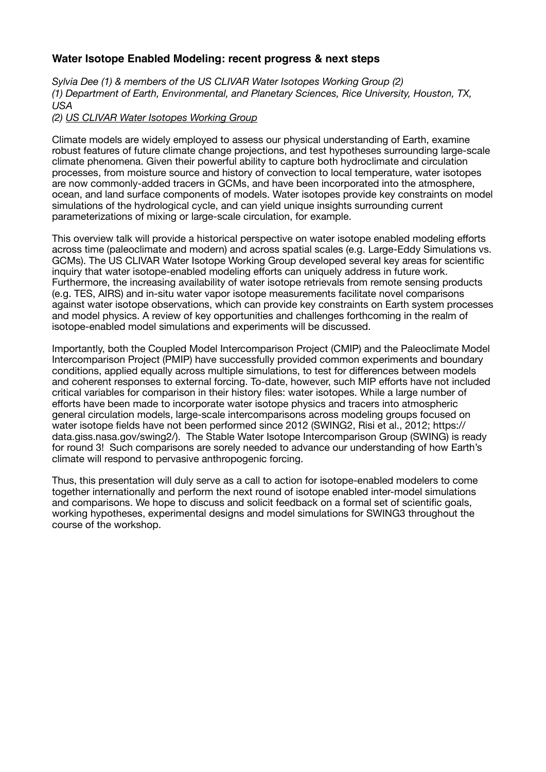# **Water Isotope Enabled Modeling: recent progress & next steps**

*Sylvia Dee (1) & members of the US CLIVAR Water Isotopes Working Group (2) (1) Department of Earth, Environmental, and Planetary Sciences, Rice University, Houston, TX, USA* 

# *(2) [US CLIVAR Water Isotopes Working Group](https://usclivar.org/working-groups/water-isotopes-working-group#:~:text=The%20US%20CLIVAR%20Working%20Group,ratios%20as%20a%20climate%20variable)*

Climate models are widely employed to assess our physical understanding of Earth, examine robust features of future climate change projections, and test hypotheses surrounding large-scale climate phenomena. Given their powerful ability to capture both hydroclimate and circulation processes, from moisture source and history of convection to local temperature, water isotopes are now commonly-added tracers in GCMs, and have been incorporated into the atmosphere, ocean, and land surface components of models. Water isotopes provide key constraints on model simulations of the hydrological cycle, and can yield unique insights surrounding current parameterizations of mixing or large-scale circulation, for example.

This overview talk will provide a historical perspective on water isotope enabled modeling efforts across time (paleoclimate and modern) and across spatial scales (e.g. Large-Eddy Simulations vs. GCMs). The US CLIVAR Water Isotope Working Group developed several key areas for scientific inquiry that water isotope-enabled modeling efforts can uniquely address in future work. Furthermore, the increasing availability of water isotope retrievals from remote sensing products (e.g. TES, AIRS) and in-situ water vapor isotope measurements facilitate novel comparisons against water isotope observations, which can provide key constraints on Earth system processes and model physics. A review of key opportunities and challenges forthcoming in the realm of isotope-enabled model simulations and experiments will be discussed.

Importantly, both the Coupled Model Intercomparison Project (CMIP) and the Paleoclimate Model Intercomparison Project (PMIP) have successfully provided common experiments and boundary conditions, applied equally across multiple simulations, to test for differences between models and coherent responses to external forcing. To-date, however, such MIP efforts have not included critical variables for comparison in their history files: water isotopes. While a large number of efforts have been made to incorporate water isotope physics and tracers into atmospheric general circulation models, large-scale intercomparisons across modeling groups focused on water isotope fields have not been performed since 2012 (SWING2, Risi et al., 2012; https:// data.giss.nasa.gov/swing2/). The Stable Water Isotope Intercomparison Group (SWING) is ready for round 3! Such comparisons are sorely needed to advance our understanding of how Earth's climate will respond to pervasive anthropogenic forcing.

Thus, this presentation will duly serve as a call to action for isotope-enabled modelers to come together internationally and perform the next round of isotope enabled inter-model simulations and comparisons. We hope to discuss and solicit feedback on a formal set of scientific goals, working hypotheses, experimental designs and model simulations for SWING3 throughout the course of the workshop.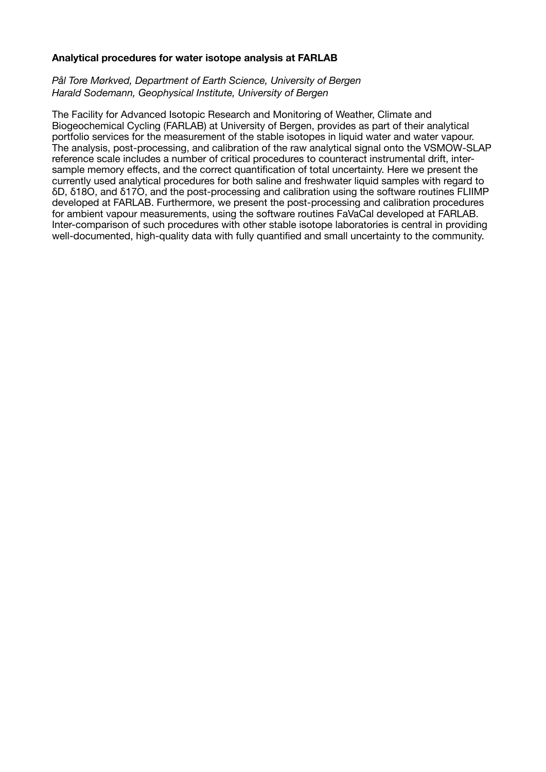# **Analytical procedures for water isotope analysis at FARLAB**

# *Pål Tore Mørkved, Department of Earth Science, University of Bergen Harald Sodemann, Geophysical Institute, University of Bergen*

The Facility for Advanced Isotopic Research and Monitoring of Weather, Climate and Biogeochemical Cycling (FARLAB) at University of Bergen, provides as part of their analytical portfolio services for the measurement of the stable isotopes in liquid water and water vapour. The analysis, post-processing, and calibration of the raw analytical signal onto the VSMOW-SLAP reference scale includes a number of critical procedures to counteract instrumental drift, intersample memory effects, and the correct quantification of total uncertainty. Here we present the currently used analytical procedures for both saline and freshwater liquid samples with regard to δD, δ18O, and δ17O, and the post-processing and calibration using the software routines FLIIMP developed at FARLAB. Furthermore, we present the post-processing and calibration procedures for ambient vapour measurements, using the software routines FaVaCal developed at FARLAB. Inter-comparison of such procedures with other stable isotope laboratories is central in providing well-documented, high-quality data with fully quantified and small uncertainty to the community.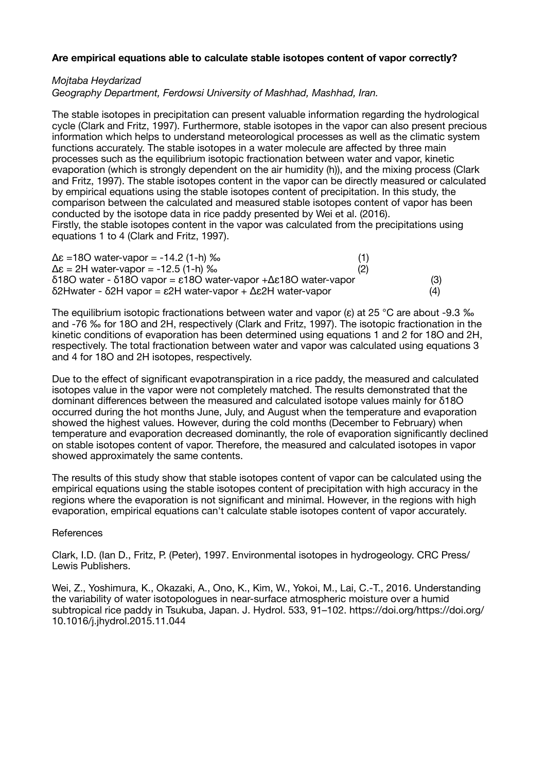# **Are empirical equations able to calculate stable isotopes content of vapor correctly?**

*Mojtaba Heydarizad* 

*Geography Department, Ferdowsi University of Mashhad, Mashhad, Iran.*

The stable isotopes in precipitation can present valuable information regarding the hydrological cycle (Clark and Fritz, 1997). Furthermore, stable isotopes in the vapor can also present precious information which helps to understand meteorological processes as well as the climatic system functions accurately. The stable isotopes in a water molecule are affected by three main processes such as the equilibrium isotopic fractionation between water and vapor, kinetic evaporation (which is strongly dependent on the air humidity (h)), and the mixing process (Clark and Fritz, 1997). The stable isotopes content in the vapor can be directly measured or calculated by empirical equations using the stable isotopes content of precipitation. In this study, the comparison between the calculated and measured stable isotopes content of vapor has been conducted by the isotope data in rice paddy presented by Wei et al. (2016). Firstly, the stable isotopes content in the vapor was calculated from the precipitations using equations 1 to 4 (Clark and Fritz, 1997).

| $\Delta \epsilon$ =180 water-vapor = -14.2 (1-h) ‰                                                       | (1) |
|----------------------------------------------------------------------------------------------------------|-----|
| $\Delta \epsilon = 2H$ water-vapor = -12.5 (1-h) ‰                                                       | (2) |
| $\delta$ 180 water - $\delta$ 180 vapor = $\epsilon$ 180 water-vapor + $\Delta \epsilon$ 180 water-vapor | (3) |
| $δ$ 2Hwater - δ2H vapor = ε2H water-vapor + Δε2H water-vapor                                             | (4) |

The equilibrium isotopic fractionations between water and vapor ( $\varepsilon$ ) at 25 °C are about -9.3 ‰ and -76 ‰ for 18O and 2H, respectively (Clark and Fritz, 1997). The isotopic fractionation in the kinetic conditions of evaporation has been determined using equations 1 and 2 for 18O and 2H, respectively. The total fractionation between water and vapor was calculated using equations 3 and 4 for 18O and 2H isotopes, respectively.

Due to the effect of significant evapotranspiration in a rice paddy, the measured and calculated isotopes value in the vapor were not completely matched. The results demonstrated that the dominant differences between the measured and calculated isotope values mainly for δ18O occurred during the hot months June, July, and August when the temperature and evaporation showed the highest values. However, during the cold months (December to February) when temperature and evaporation decreased dominantly, the role of evaporation significantly declined on stable isotopes content of vapor. Therefore, the measured and calculated isotopes in vapor showed approximately the same contents.

The results of this study show that stable isotopes content of vapor can be calculated using the empirical equations using the stable isotopes content of precipitation with high accuracy in the regions where the evaporation is not significant and minimal. However, in the regions with high evaporation, empirical equations can't calculate stable isotopes content of vapor accurately.

#### **References**

Clark, I.D. (Ian D., Fritz, P. (Peter), 1997. Environmental isotopes in hydrogeology. CRC Press/ Lewis Publishers.

Wei, Z., Yoshimura, K., Okazaki, A., Ono, K., Kim, W., Yokoi, M., Lai, C.-T., 2016. Understanding the variability of water isotopologues in near-surface atmospheric moisture over a humid subtropical rice paddy in Tsukuba, Japan. J. Hydrol. 533, 91–102. https://doi.org/https://doi.org/ 10.1016/j.jhydrol.2015.11.044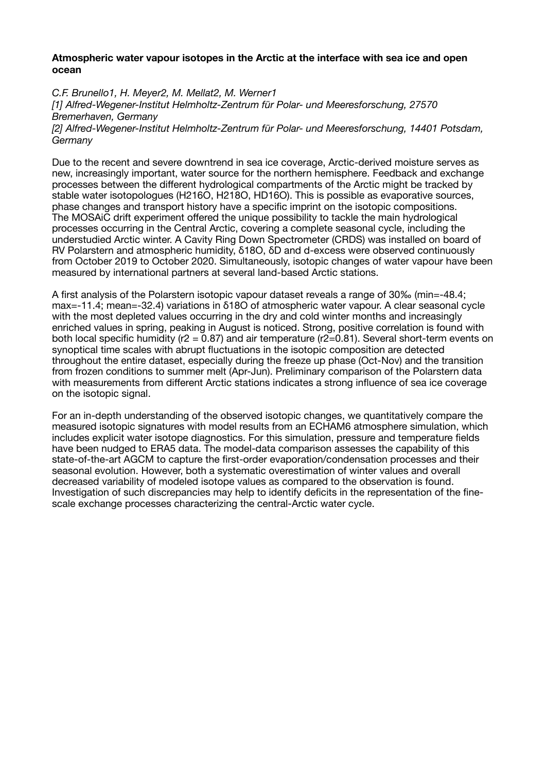## **Atmospheric water vapour isotopes in the Arctic at the interface with sea ice and open ocean**

*C.F. Brunello1, H. Meyer2, M. Mellat2, M. Werner1 [1] Alfred-Wegener-Institut Helmholtz-Zentrum für Polar- und Meeresforschung, 27570 Bremerhaven, Germany [2] Alfred-Wegener-Institut Helmholtz-Zentrum für Polar- und Meeresforschung, 14401 Potsdam, Germany*

Due to the recent and severe downtrend in sea ice coverage, Arctic-derived moisture serves as new, increasingly important, water source for the northern hemisphere. Feedback and exchange processes between the different hydrological compartments of the Arctic might be tracked by stable water isotopologues (H216O, H218O, HD16O). This is possible as evaporative sources, phase changes and transport history have a specific imprint on the isotopic compositions. The MOSAiC drift experiment offered the unique possibility to tackle the main hydrological processes occurring in the Central Arctic, covering a complete seasonal cycle, including the understudied Arctic winter. A Cavity Ring Down Spectrometer (CRDS) was installed on board of RV Polarstern and atmospheric humidity, δ18O, δD and d-excess were observed continuously from October 2019 to October 2020. Simultaneously, isotopic changes of water vapour have been measured by international partners at several land-based Arctic stations.

A first analysis of the Polarstern isotopic vapour dataset reveals a range of 30‰ (min=-48.4; max=-11.4; mean=-32.4) variations in δ18Ο of atmospheric water vapour. A clear seasonal cycle with the most depleted values occurring in the dry and cold winter months and increasingly enriched values in spring, peaking in August is noticed. Strong, positive correlation is found with both local specific humidity ( $r2 = 0.87$ ) and air temperature ( $r2=0.81$ ). Several short-term events on synoptical time scales with abrupt fluctuations in the isotopic composition are detected throughout the entire dataset, especially during the freeze up phase (Oct-Nov) and the transition from frozen conditions to summer melt (Apr-Jun). Preliminary comparison of the Polarstern data with measurements from different Arctic stations indicates a strong influence of sea ice coverage on the isotopic signal.

For an in-depth understanding of the observed isotopic changes, we quantitatively compare the measured isotopic signatures with model results from an ECHAM6 atmosphere simulation, which includes explicit water isotope diagnostics. For this simulation, pressure and temperature fields have been nudged to ERA5 data. The model-data comparison assesses the capability of this state-of-the-art AGCM to capture the first-order evaporation/condensation processes and their seasonal evolution. However, both a systematic overestimation of winter values and overall decreased variability of modeled isotope values as compared to the observation is found. Investigation of such discrepancies may help to identify deficits in the representation of the finescale exchange processes characterizing the central-Arctic water cycle.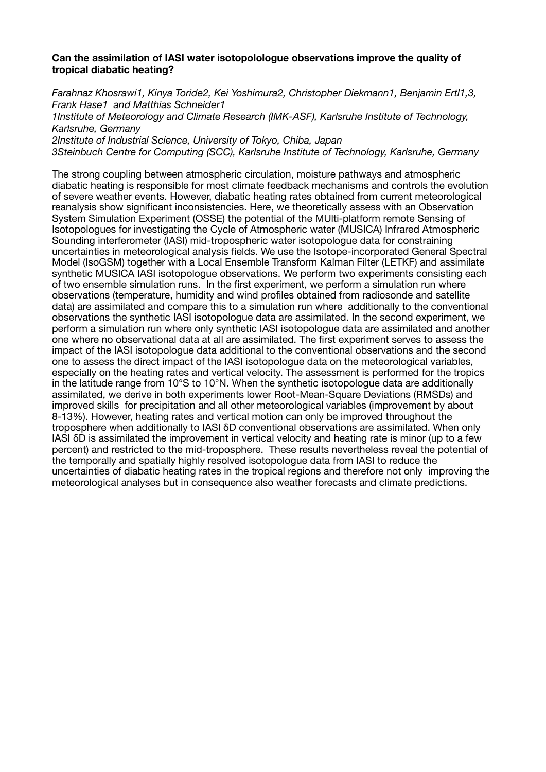# **Can the assimilation of IASI water isotopolologue observations improve the quality of tropical diabatic heating?**

*Farahnaz Khosrawi1, Kinya Toride2, Kei Yoshimura2, Christopher Diekmann1, Benjamin Ertl1,3, Frank Hase1 and Matthias Schneider1 1Institute of Meteorology and Climate Research (IMK-ASF), Karlsruhe Institute of Technology, Karlsruhe, Germany 2Institute of Industrial Science, University of Tokyo, Chiba, Japan 3Steinbuch Centre for Computing (SCC), Karlsruhe Institute of Technology, Karlsruhe, Germany* 

The strong coupling between atmospheric circulation, moisture pathways and atmospheric diabatic heating is responsible for most climate feedback mechanisms and controls the evolution of severe weather events. However, diabatic heating rates obtained from current meteorological reanalysis show significant inconsistencies. Here, we theoretically assess with an Observation System Simulation Experiment (OSSE) the potential of the MUlti-platform remote Sensing of Isotopologues for investigating the Cycle of Atmospheric water (MUSICA) Infrared Atmospheric Sounding interferometer (IASI) mid-tropospheric water isotopologue data for constraining uncertainties in meteorological analysis fields. We use the Isotope-incorporated General Spectral Model (IsoGSM) together with a Local Ensemble Transform Kalman Filter (LETKF) and assimilate synthetic MUSICA IASI isotopologue observations. We perform two experiments consisting each of two ensemble simulation runs. In the first experiment, we perform a simulation run where observations (temperature, humidity and wind profiles obtained from radiosonde and satellite data) are assimilated and compare this to a simulation run where additionally to the conventional observations the synthetic IASI isotopologue data are assimilated. In the second experiment, we perform a simulation run where only synthetic IASI isotopologue data are assimilated and another one where no observational data at all are assimilated. The first experiment serves to assess the impact of the IASI isotopologue data additional to the conventional observations and the second one to assess the direct impact of the IASI isotopologue data on the meteorological variables, especially on the heating rates and vertical velocity. The assessment is performed for the tropics in the latitude range from 10°S to 10°N. When the synthetic isotopologue data are additionally assimilated, we derive in both experiments lower Root-Mean-Square Deviations (RMSDs) and improved skills for precipitation and all other meteorological variables (improvement by about 8-13%). However, heating rates and vertical motion can only be improved throughout the troposphere when additionally to IASI δD conventional observations are assimilated. When only IASI δD is assimilated the improvement in vertical velocity and heating rate is minor (up to a few percent) and restricted to the mid-troposphere. These results nevertheless reveal the potential of the temporally and spatially highly resolved isotopologue data from IASI to reduce the uncertainties of diabatic heating rates in the tropical regions and therefore not only improving the meteorological analyses but in consequence also weather forecasts and climate predictions.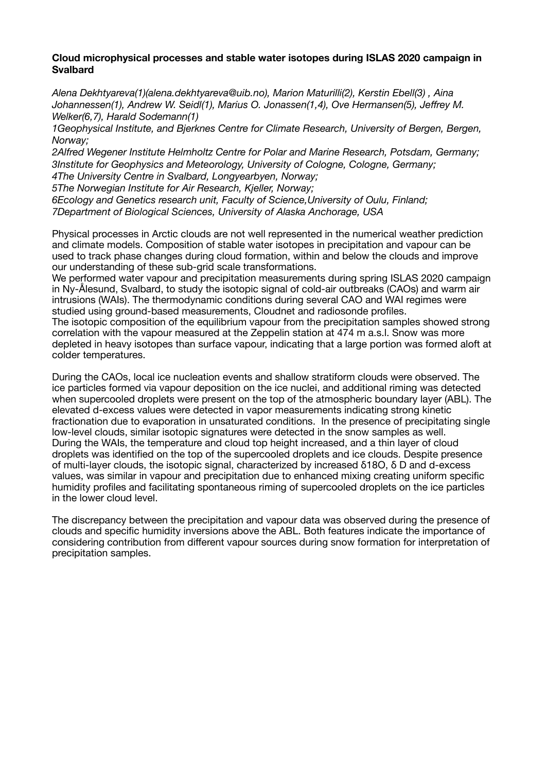# **Cloud microphysical processes and stable water isotopes during ISLAS 2020 campaign in Svalbard**

*Alena Dekhtyareva(1)(alena.dekhtyareva@uib.no), Marion Maturilli(2), Kerstin Ebell(3) , Aina Johannessen(1), Andrew W. Seidl(1), Marius O. Jonassen(1,4), Ove Hermansen(5), Jeffrey M. Welker(6,7), Harald Sodemann(1)* 

*1Geophysical Institute, and Bjerknes Centre for Climate Research, University of Bergen, Bergen, Norway;* 

*2Alfred Wegener Institute Helmholtz Centre for Polar and Marine Research, Potsdam, Germany; 3Institute for Geophysics and Meteorology, University of Cologne, Cologne, Germany;* 

*4The University Centre in Svalbard, Longyearbyen, Norway; 5The Norwegian Institute for Air Research, Kjeller, Norway;* 

*6Ecology and Genetics research unit, Faculty of Science,University of Oulu, Finland; 7Department of Biological Sciences, University of Alaska Anchorage, USA*

Physical processes in Arctic clouds are not well represented in the numerical weather prediction and climate models. Composition of stable water isotopes in precipitation and vapour can be used to track phase changes during cloud formation, within and below the clouds and improve our understanding of these sub-grid scale transformations.

We performed water vapour and precipitation measurements during spring ISLAS 2020 campaign in Ny-Ålesund, Svalbard, to study the isotopic signal of cold-air outbreaks (CAOs) and warm air intrusions (WAIs). The thermodynamic conditions during several CAO and WAI regimes were studied using ground-based measurements, Cloudnet and radiosonde profiles. The isotopic composition of the equilibrium vapour from the precipitation samples showed strong correlation with the vapour measured at the Zeppelin station at 474 m a.s.l. Snow was more depleted in heavy isotopes than surface vapour, indicating that a large portion was formed aloft at colder temperatures.

During the CAOs, local ice nucleation events and shallow stratiform clouds were observed. The ice particles formed via vapour deposition on the ice nuclei, and additional riming was detected when supercooled droplets were present on the top of the atmospheric boundary layer (ABL). The elevated d-excess values were detected in vapor measurements indicating strong kinetic fractionation due to evaporation in unsaturated conditions. In the presence of precipitating single low-level clouds, similar isotopic signatures were detected in the snow samples as well. During the WAIs, the temperature and cloud top height increased, and a thin layer of cloud droplets was identified on the top of the supercooled droplets and ice clouds. Despite presence of multi-layer clouds, the isotopic signal, characterized by increased δ18O, δ D and d-excess values, was similar in vapour and precipitation due to enhanced mixing creating uniform specific humidity profiles and facilitating spontaneous riming of supercooled droplets on the ice particles in the lower cloud level.

The discrepancy between the precipitation and vapour data was observed during the presence of clouds and specific humidity inversions above the ABL. Both features indicate the importance of considering contribution from different vapour sources during snow formation for interpretation of precipitation samples.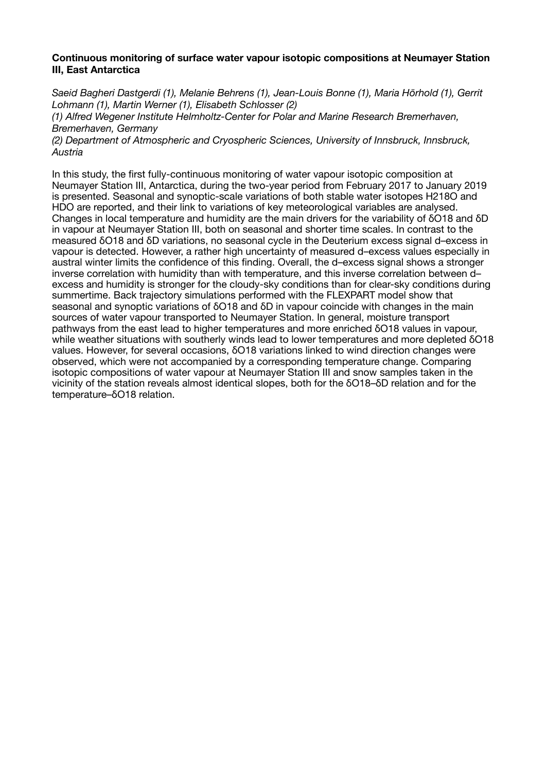# **Continuous monitoring of surface water vapour isotopic compositions at Neumayer Station III, East Antarctica**

*Saeid Bagheri Dastgerdi (1), Melanie Behrens (1), Jean-Louis Bonne (1), Maria Hörhold (1), Gerrit Lohmann (1), Martin Werner (1), Elisabeth Schlosser (2) (1) Alfred Wegener Institute Helmholtz-Center for Polar and Marine Research Bremerhaven, Bremerhaven, Germany* 

*(2) Department of Atmospheric and Cryospheric Sciences, University of Innsbruck, Innsbruck, Austria*

In this study, the first fully-continuous monitoring of water vapour isotopic composition at Neumayer Station III, Antarctica, during the two-year period from February 2017 to January 2019 is presented. Seasonal and synoptic-scale variations of both stable water isotopes H218O and HDO are reported, and their link to variations of key meteorological variables are analysed. Changes in local temperature and humidity are the main drivers for the variability of δO18 and δD in vapour at Neumayer Station III, both on seasonal and shorter time scales. In contrast to the measured δO18 and δD variations, no seasonal cycle in the Deuterium excess signal d–excess in vapour is detected. However, a rather high uncertainty of measured d–excess values especially in austral winter limits the confidence of this finding. Overall, the d–excess signal shows a stronger inverse correlation with humidity than with temperature, and this inverse correlation between d– excess and humidity is stronger for the cloudy-sky conditions than for clear-sky conditions during summertime. Back trajectory simulations performed with the FLEXPART model show that seasonal and synoptic variations of δO18 and δD in vapour coincide with changes in the main sources of water vapour transported to Neumayer Station. In general, moisture transport pathways from the east lead to higher temperatures and more enriched δO18 values in vapour, while weather situations with southerly winds lead to lower temperatures and more depleted δO18 values. However, for several occasions, δO18 variations linked to wind direction changes were observed, which were not accompanied by a corresponding temperature change. Comparing isotopic compositions of water vapour at Neumayer Station III and snow samples taken in the vicinity of the station reveals almost identical slopes, both for the δO18–δD relation and for the temperature–δO18 relation.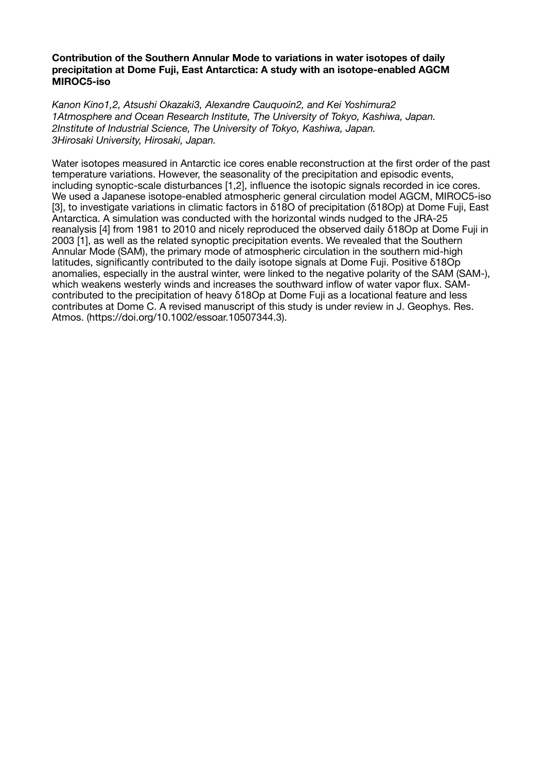# **Contribution of the Southern Annular Mode to variations in water isotopes of daily precipitation at Dome Fuji, East Antarctica: A study with an isotope-enabled AGCM MIROC5-iso**

*Kanon Kino1,2, Atsushi Okazaki3, Alexandre Cauquoin2, and Kei Yoshimura2 1Atmosphere and Ocean Research Institute, The University of Tokyo, Kashiwa, Japan. 2Institute of Industrial Science, The University of Tokyo, Kashiwa, Japan. 3Hirosaki University, Hirosaki, Japan.*

Water isotopes measured in Antarctic ice cores enable reconstruction at the first order of the past temperature variations. However, the seasonality of the precipitation and episodic events, including synoptic-scale disturbances [1,2], influence the isotopic signals recorded in ice cores. We used a Japanese isotope-enabled atmospheric general circulation model AGCM, MIROC5-iso [3], to investigate variations in climatic factors in δ18O of precipitation (δ18Op) at Dome Fuji, East Antarctica. A simulation was conducted with the horizontal winds nudged to the JRA-25 reanalysis [4] from 1981 to 2010 and nicely reproduced the observed daily δ18Op at Dome Fuji in 2003 [1], as well as the related synoptic precipitation events. We revealed that the Southern Annular Mode (SAM), the primary mode of atmospheric circulation in the southern mid-high latitudes, significantly contributed to the daily isotope signals at Dome Fuji. Positive δ18Op anomalies, especially in the austral winter, were linked to the negative polarity of the SAM (SAM-), which weakens westerly winds and increases the southward inflow of water vapor flux. SAMcontributed to the precipitation of heavy δ18Op at Dome Fuji as a locational feature and less contributes at Dome C. A revised manuscript of this study is under review in J. Geophys. Res. Atmos. (https://doi.org/10.1002/essoar.10507344.3).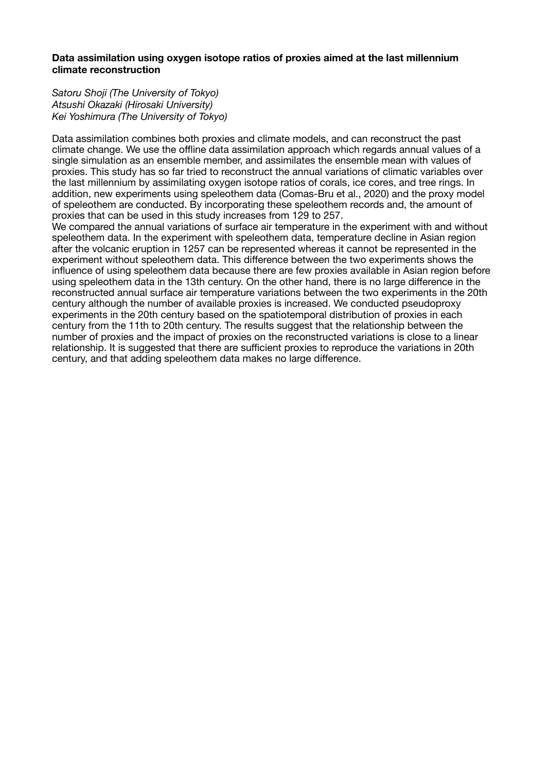# **Data assimilation using oxygen isotope ratios of proxies aimed at the last millennium climate reconstruction**

*Satoru Shoji (The University of Tokyo) Atsushi Okazaki (Hirosaki University) Kei Yoshimura (The University of Tokyo)*

Data assimilation combines both proxies and climate models, and can reconstruct the past climate change. We use the offline data assimilation approach which regards annual values of a single simulation as an ensemble member, and assimilates the ensemble mean with values of proxies. This study has so far tried to reconstruct the annual variations of climatic variables over the last millennium by assimilating oxygen isotope ratios of corals, ice cores, and tree rings. In addition, new experiments using speleothem data (Comas-Bru et al., 2020) and the proxy model of speleothem are conducted. By incorporating these speleothem records and, the amount of proxies that can be used in this study increases from 129 to 257.

We compared the annual variations of surface air temperature in the experiment with and without speleothem data. In the experiment with speleothem data, temperature decline in Asian region after the volcanic eruption in 1257 can be represented whereas it cannot be represented in the experiment without speleothem data. This difference between the two experiments shows the influence of using speleothem data because there are few proxies available in Asian region before using speleothem data in the 13th century. On the other hand, there is no large difference in the reconstructed annual surface air temperature variations between the two experiments in the 20th century although the number of available proxies is increased. We conducted pseudoproxy experiments in the 20th century based on the spatiotemporal distribution of proxies in each century from the 11th to 20th century. The results suggest that the relationship between the number of proxies and the impact of proxies on the reconstructed variations is close to a linear relationship. It is suggested that there are sufficient proxies to reproduce the variations in 20th century, and that adding speleothem data makes no large difference.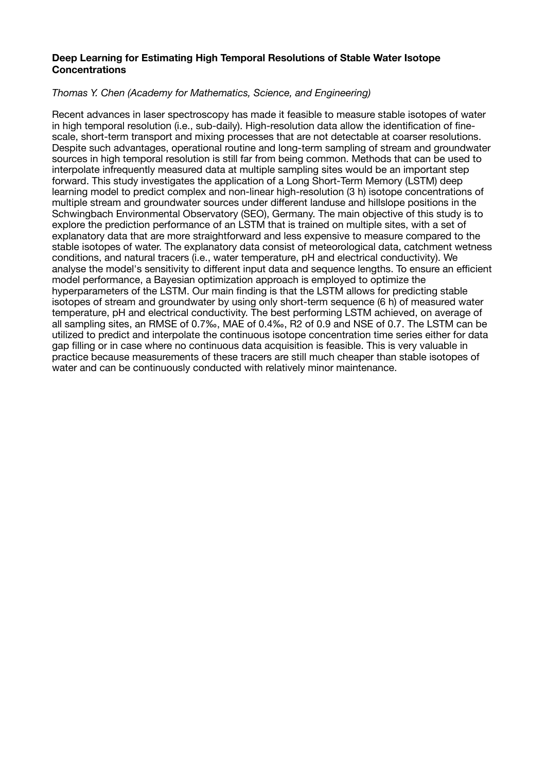# **Deep Learning for Estimating High Temporal Resolutions of Stable Water Isotope Concentrations**

# *Thomas Y. Chen (Academy for Mathematics, Science, and Engineering)*

Recent advances in laser spectroscopy has made it feasible to measure stable isotopes of water in high temporal resolution (i.e., sub-daily). High-resolution data allow the identification of finescale, short-term transport and mixing processes that are not detectable at coarser resolutions. Despite such advantages, operational routine and long-term sampling of stream and groundwater sources in high temporal resolution is still far from being common. Methods that can be used to interpolate infrequently measured data at multiple sampling sites would be an important step forward. This study investigates the application of a Long Short-Term Memory (LSTM) deep learning model to predict complex and non-linear high-resolution (3 h) isotope concentrations of multiple stream and groundwater sources under different landuse and hillslope positions in the Schwingbach Environmental Observatory (SEO), Germany. The main objective of this study is to explore the prediction performance of an LSTM that is trained on multiple sites, with a set of explanatory data that are more straightforward and less expensive to measure compared to the stable isotopes of water. The explanatory data consist of meteorological data, catchment wetness conditions, and natural tracers (i.e., water temperature, pH and electrical conductivity). We analyse the model's sensitivity to different input data and sequence lengths. To ensure an efficient model performance, a Bayesian optimization approach is employed to optimize the hyperparameters of the LSTM. Our main finding is that the LSTM allows for predicting stable isotopes of stream and groundwater by using only short-term sequence (6 h) of measured water temperature, pH and electrical conductivity. The best performing LSTM achieved, on average of all sampling sites, an RMSE of 0.7‰, MAE of 0.4‰, R2 of 0.9 and NSE of 0.7. The LSTM can be utilized to predict and interpolate the continuous isotope concentration time series either for data gap filling or in case where no continuous data acquisition is feasible. This is very valuable in practice because measurements of these tracers are still much cheaper than stable isotopes of water and can be continuously conducted with relatively minor maintenance.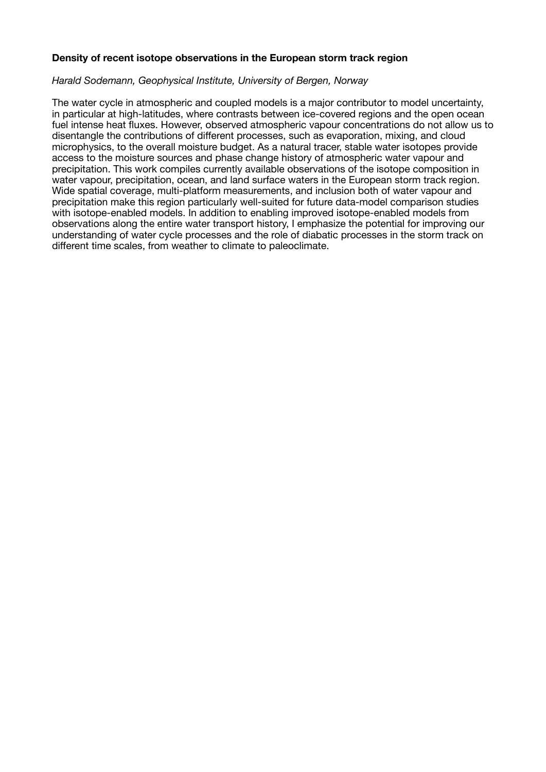# **Density of recent isotope observations in the European storm track region**

## *Harald Sodemann, Geophysical Institute, University of Bergen, Norway*

The water cycle in atmospheric and coupled models is a major contributor to model uncertainty, in particular at high-latitudes, where contrasts between ice-covered regions and the open ocean fuel intense heat fluxes. However, observed atmospheric vapour concentrations do not allow us to disentangle the contributions of different processes, such as evaporation, mixing, and cloud microphysics, to the overall moisture budget. As a natural tracer, stable water isotopes provide access to the moisture sources and phase change history of atmospheric water vapour and precipitation. This work compiles currently available observations of the isotope composition in water vapour, precipitation, ocean, and land surface waters in the European storm track region. Wide spatial coverage, multi-platform measurements, and inclusion both of water vapour and precipitation make this region particularly well-suited for future data-model comparison studies with isotope-enabled models. In addition to enabling improved isotope-enabled models from observations along the entire water transport history, I emphasize the potential for improving our understanding of water cycle processes and the role of diabatic processes in the storm track on different time scales, from weather to climate to paleoclimate.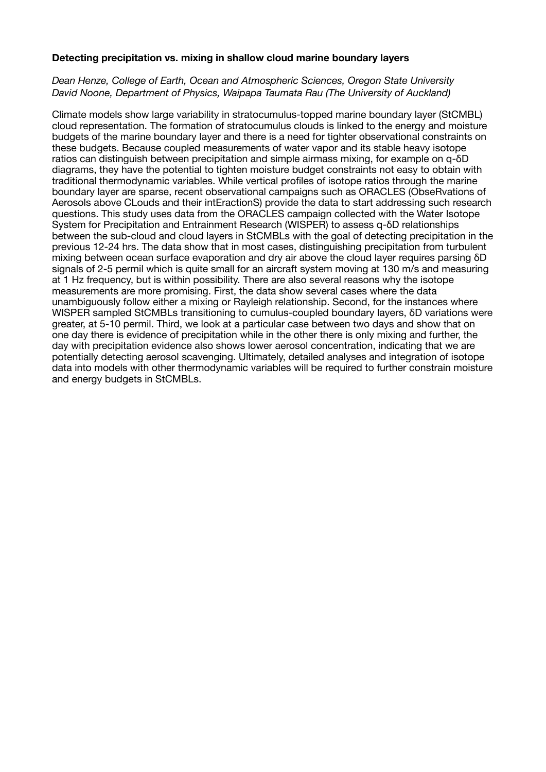## **Detecting precipitation vs. mixing in shallow cloud marine boundary layers**

# *Dean Henze, College of Earth, Ocean and Atmospheric Sciences, Oregon State University David Noone, Department of Physics, Waipapa Taumata Rau (The University of Auckland)*

Climate models show large variability in stratocumulus-topped marine boundary layer (StCMBL) cloud representation. The formation of stratocumulus clouds is linked to the energy and moisture budgets of the marine boundary layer and there is a need for tighter observational constraints on these budgets. Because coupled measurements of water vapor and its stable heavy isotope ratios can distinguish between precipitation and simple airmass mixing, for example on q-δD diagrams, they have the potential to tighten moisture budget constraints not easy to obtain with traditional thermodynamic variables. While vertical profiles of isotope ratios through the marine boundary layer are sparse, recent observational campaigns such as ORACLES (ObseRvations of Aerosols above CLouds and their intEractionS) provide the data to start addressing such research questions. This study uses data from the ORACLES campaign collected with the Water Isotope System for Precipitation and Entrainment Research (WISPER) to assess q-δD relationships between the sub-cloud and cloud layers in StCMBLs with the goal of detecting precipitation in the previous 12-24 hrs. The data show that in most cases, distinguishing precipitation from turbulent mixing between ocean surface evaporation and dry air above the cloud layer requires parsing δD signals of 2-5 permil which is quite small for an aircraft system moving at 130 m/s and measuring at 1 Hz frequency, but is within possibility. There are also several reasons why the isotope measurements are more promising. First, the data show several cases where the data unambiguously follow either a mixing or Rayleigh relationship. Second, for the instances where WISPER sampled StCMBLs transitioning to cumulus-coupled boundary layers, δD variations were greater, at 5-10 permil. Third, we look at a particular case between two days and show that on one day there is evidence of precipitation while in the other there is only mixing and further, the day with precipitation evidence also shows lower aerosol concentration, indicating that we are potentially detecting aerosol scavenging. Ultimately, detailed analyses and integration of isotope data into models with other thermodynamic variables will be required to further constrain moisture and energy budgets in StCMBLs.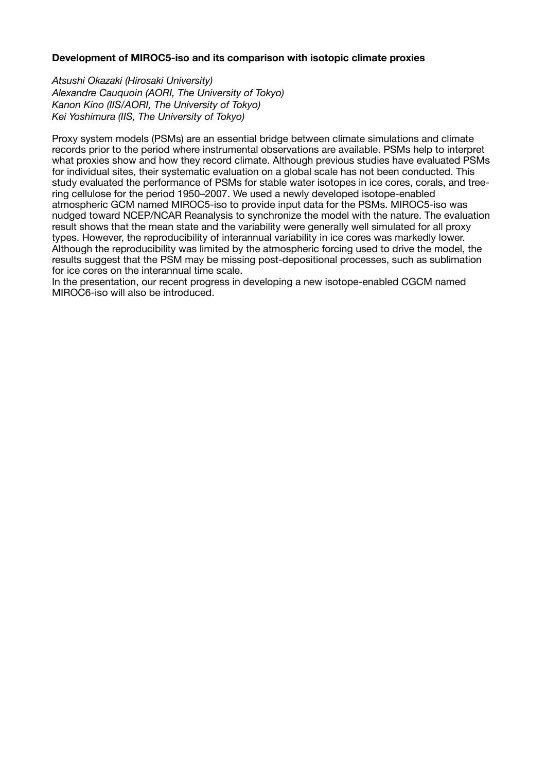# **Development of MIROC5-iso and its comparison with isotopic climate proxies**

*Atsushi Okazaki (Hirosaki University) Alexandre Cauquoin (AORI, The University of Tokyo) Kanon Kino (IIS/AORI, The University of Tokyo) Kei Yoshimura (IIS, The University of Tokyo)*

Proxy system models (PSMs) are an essential bridge between climate simulations and climate records prior to the period where instrumental observations are available. PSMs help to interpret what proxies show and how they record climate. Although previous studies have evaluated PSMs for individual sites, their systematic evaluation on a global scale has not been conducted. This study evaluated the performance of PSMs for stable water isotopes in ice cores, corals, and tree‐ ring cellulose for the period 1950–2007. We used a newly developed isotope-enabled atmospheric GCM named MIROC5-iso to provide input data for the PSMs. MIROC5-iso was nudged toward NCEP/NCAR Reanalysis to synchronize the model with the nature. The evaluation result shows that the mean state and the variability were generally well simulated for all proxy types. However, the reproducibility of interannual variability in ice cores was markedly lower. Although the reproducibility was limited by the atmospheric forcing used to drive the model, the results suggest that the PSM may be missing post-depositional processes, such as sublimation for ice cores on the interannual time scale.

In the presentation, our recent progress in developing a new isotope-enabled CGCM named MIROC6-iso will also be introduced.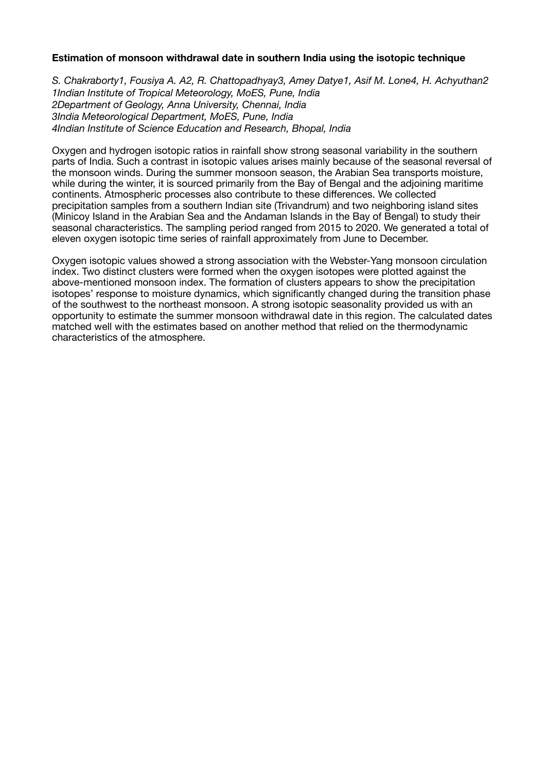# **Estimation of monsoon withdrawal date in southern India using the isotopic technique**

*S. Chakraborty1, Fousiya A. A2, R. Chattopadhyay3, Amey Datye1, Asif M. Lone4, H. Achyuthan2 1Indian Institute of Tropical Meteorology, MoES, Pune, India 2Department of Geology, Anna University, Chennai, India 3India Meteorological Department, MoES, Pune, India 4Indian Institute of Science Education and Research, Bhopal, India*

Oxygen and hydrogen isotopic ratios in rainfall show strong seasonal variability in the southern parts of India. Such a contrast in isotopic values arises mainly because of the seasonal reversal of the monsoon winds. During the summer monsoon season, the Arabian Sea transports moisture, while during the winter, it is sourced primarily from the Bay of Bengal and the adjoining maritime continents. Atmospheric processes also contribute to these differences. We collected precipitation samples from a southern Indian site (Trivandrum) and two neighboring island sites (Minicoy Island in the Arabian Sea and the Andaman Islands in the Bay of Bengal) to study their seasonal characteristics. The sampling period ranged from 2015 to 2020. We generated a total of eleven oxygen isotopic time series of rainfall approximately from June to December.

Oxygen isotopic values showed a strong association with the Webster-Yang monsoon circulation index. Two distinct clusters were formed when the oxygen isotopes were plotted against the above-mentioned monsoon index. The formation of clusters appears to show the precipitation isotopes' response to moisture dynamics, which significantly changed during the transition phase of the southwest to the northeast monsoon. A strong isotopic seasonality provided us with an opportunity to estimate the summer monsoon withdrawal date in this region. The calculated dates matched well with the estimates based on another method that relied on the thermodynamic characteristics of the atmosphere.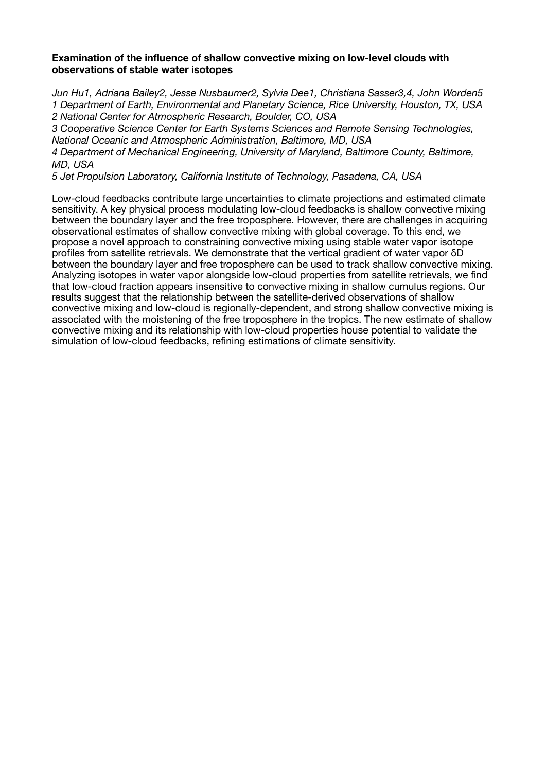# **Examination of the influence of shallow convective mixing on low-level clouds with observations of stable water isotopes**

*Jun Hu1, Adriana Bailey2, Jesse Nusbaumer2, Sylvia Dee1, Christiana Sasser3,4, John Worden5 1 Department of Earth, Environmental and Planetary Science, Rice University, Houston, TX, USA 2 National Center for Atmospheric Research, Boulder, CO, USA* 

*3 Cooperative Science Center for Earth Systems Sciences and Remote Sensing Technologies, National Oceanic and Atmospheric Administration, Baltimore, MD, USA* 

*4 Department of Mechanical Engineering, University of Maryland, Baltimore County, Baltimore, MD, USA* 

*5 Jet Propulsion Laboratory, California Institute of Technology, Pasadena, CA, USA*

Low-cloud feedbacks contribute large uncertainties to climate projections and estimated climate sensitivity. A key physical process modulating low-cloud feedbacks is shallow convective mixing between the boundary layer and the free troposphere. However, there are challenges in acquiring observational estimates of shallow convective mixing with global coverage. To this end, we propose a novel approach to constraining convective mixing using stable water vapor isotope profiles from satellite retrievals. We demonstrate that the vertical gradient of water vapor δD between the boundary layer and free troposphere can be used to track shallow convective mixing. Analyzing isotopes in water vapor alongside low-cloud properties from satellite retrievals, we find that low-cloud fraction appears insensitive to convective mixing in shallow cumulus regions. Our results suggest that the relationship between the satellite-derived observations of shallow convective mixing and low-cloud is regionally-dependent, and strong shallow convective mixing is associated with the moistening of the free troposphere in the tropics. The new estimate of shallow convective mixing and its relationship with low-cloud properties house potential to validate the simulation of low-cloud feedbacks, refining estimations of climate sensitivity.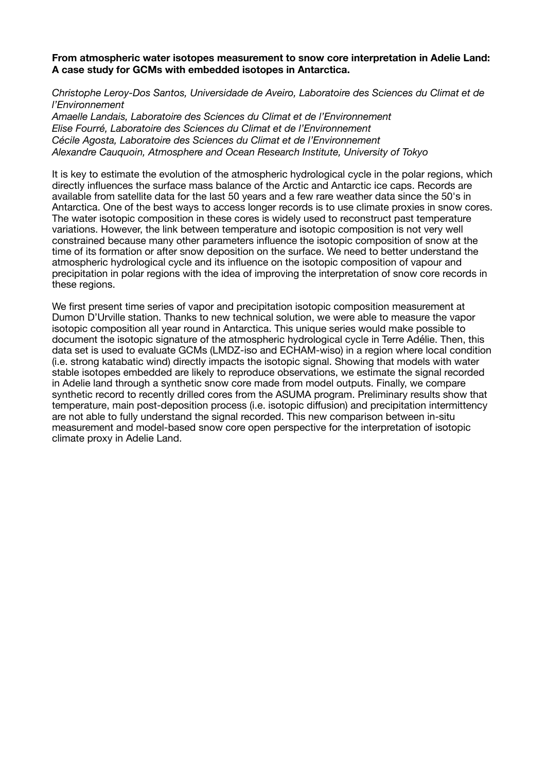## **From atmospheric water isotopes measurement to snow core interpretation in Adelie Land: A case study for GCMs with embedded isotopes in Antarctica.**

*Christophe Leroy-Dos Santos, Universidade de Aveiro, Laboratoire des Sciences du Climat et de l'Environnement* 

*Amaelle Landais, Laboratoire des Sciences du Climat et de l'Environnement Elise Fourré, Laboratoire des Sciences du Climat et de l'Environnement Cécile Agosta, Laboratoire des Sciences du Climat et de l'Environnement Alexandre Cauquoin, Atmosphere and Ocean Research Institute, University of Tokyo*

It is key to estimate the evolution of the atmospheric hydrological cycle in the polar regions, which directly influences the surface mass balance of the Arctic and Antarctic ice caps. Records are available from satellite data for the last 50 years and a few rare weather data since the 50's in Antarctica. One of the best ways to access longer records is to use climate proxies in snow cores. The water isotopic composition in these cores is widely used to reconstruct past temperature variations. However, the link between temperature and isotopic composition is not very well constrained because many other parameters influence the isotopic composition of snow at the time of its formation or after snow deposition on the surface. We need to better understand the atmospheric hydrological cycle and its influence on the isotopic composition of vapour and precipitation in polar regions with the idea of improving the interpretation of snow core records in these regions.

We first present time series of vapor and precipitation isotopic composition measurement at Dumon D'Urville station. Thanks to new technical solution, we were able to measure the vapor isotopic composition all year round in Antarctica. This unique series would make possible to document the isotopic signature of the atmospheric hydrological cycle in Terre Adélie. Then, this data set is used to evaluate GCMs (LMDZ-iso and ECHAM-wiso) in a region where local condition (i.e. strong katabatic wind) directly impacts the isotopic signal. Showing that models with water stable isotopes embedded are likely to reproduce observations, we estimate the signal recorded in Adelie land through a synthetic snow core made from model outputs. Finally, we compare synthetic record to recently drilled cores from the ASUMA program. Preliminary results show that temperature, main post-deposition process (i.e. isotopic diffusion) and precipitation intermittency are not able to fully understand the signal recorded. This new comparison between in-situ measurement and model-based snow core open perspective for the interpretation of isotopic climate proxy in Adelie Land.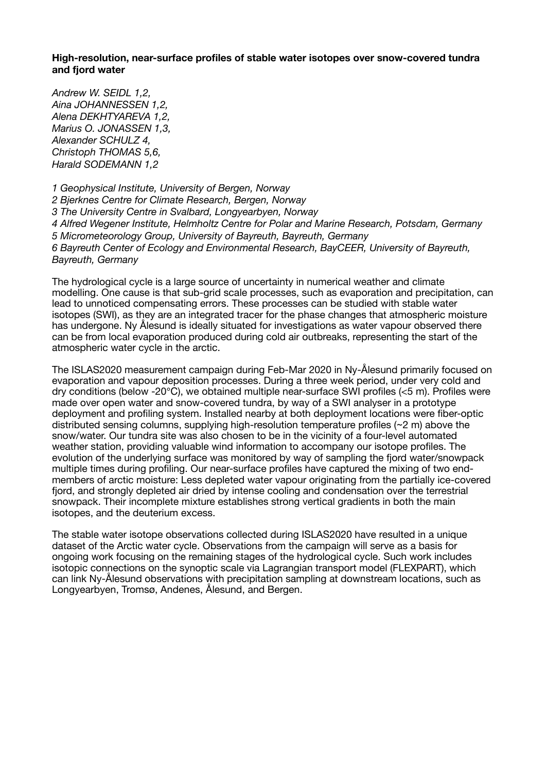**High-resolution, near-surface profiles of stable water isotopes over snow-covered tundra and fjord water** 

*Andrew W. SEIDL 1,2, Aina JOHANNESSEN 1,2, Alena DEKHTYAREVA 1,2, Marius O. JONASSEN 1,3, Alexander SCHULZ 4, Christoph THOMAS 5,6, Harald SODEMANN 1,2* 

*1 Geophysical Institute, University of Bergen, Norway 2 Bjerknes Centre for Climate Research, Bergen, Norway 3 The University Centre in Svalbard, Longyearbyen, Norway 4 Alfred Wegener Institute, Helmholtz Centre for Polar and Marine Research, Potsdam, Germany 5 Micrometeorology Group, University of Bayreuth, Bayreuth, Germany 6 Bayreuth Center of Ecology and Environmental Research, BayCEER, University of Bayreuth, Bayreuth, Germany*

The hydrological cycle is a large source of uncertainty in numerical weather and climate modelling. One cause is that sub-grid scale processes, such as evaporation and precipitation, can lead to unnoticed compensating errors. These processes can be studied with stable water isotopes (SWI), as they are an integrated tracer for the phase changes that atmospheric moisture has undergone. Ny Ålesund is ideally situated for investigations as water vapour observed there can be from local evaporation produced during cold air outbreaks, representing the start of the atmospheric water cycle in the arctic.

The ISLAS2020 measurement campaign during Feb-Mar 2020 in Ny-Ålesund primarily focused on evaporation and vapour deposition processes. During a three week period, under very cold and dry conditions (below -20℃), we obtained multiple near-surface SWI profiles (<5 m). Profiles were made over open water and snow-covered tundra, by way of a SWI analyser in a prototype deployment and profiling system. Installed nearby at both deployment locations were fiber-optic distributed sensing columns, supplying high-resolution temperature profiles (~2 m) above the snow/water. Our tundra site was also chosen to be in the vicinity of a four-level automated weather station, providing valuable wind information to accompany our isotope profiles. The evolution of the underlying surface was monitored by way of sampling the fjord water/snowpack multiple times during profiling. Our near-surface profiles have captured the mixing of two endmembers of arctic moisture: Less depleted water vapour originating from the partially ice-covered fjord, and strongly depleted air dried by intense cooling and condensation over the terrestrial snowpack. Their incomplete mixture establishes strong vertical gradients in both the main isotopes, and the deuterium excess.

The stable water isotope observations collected during ISLAS2020 have resulted in a unique dataset of the Arctic water cycle. Observations from the campaign will serve as a basis for ongoing work focusing on the remaining stages of the hydrological cycle. Such work includes isotopic connections on the synoptic scale via Lagrangian transport model (FLEXPART), which can link Ny-Ålesund observations with precipitation sampling at downstream locations, such as Longyearbyen, Tromsø, Andenes, Ålesund, and Bergen.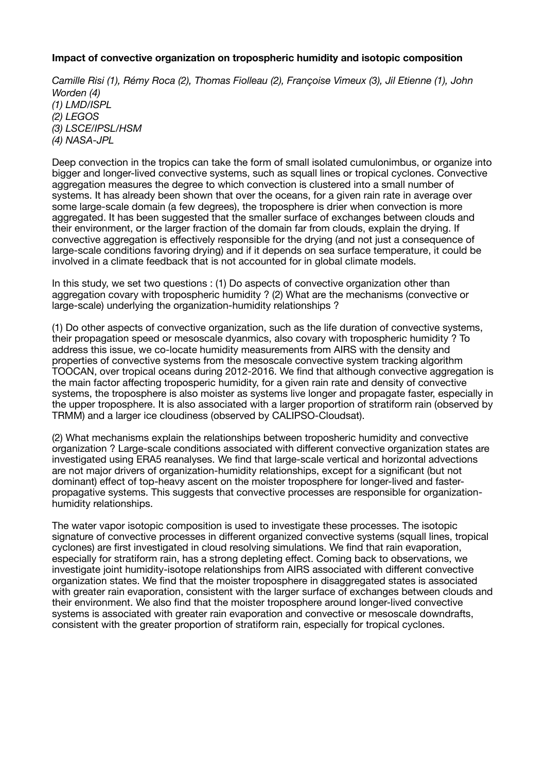# **Impact of convective organization on tropospheric humidity and isotopic composition**

*Camille Risi (1), Rémy Roca (2), Thomas Fiolleau (2), Françoise Vimeux (3), Jil Etienne (1), John Worden (4) (1) LMD/ISPL (2) LEGOS (3) LSCE/IPSL/HSM (4) NASA-JPL*

Deep convection in the tropics can take the form of small isolated cumulonimbus, or organize into bigger and longer-lived convective systems, such as squall lines or tropical cyclones. Convective aggregation measures the degree to which convection is clustered into a small number of systems. It has already been shown that over the oceans, for a given rain rate in average over some large-scale domain (a few degrees), the troposphere is drier when convection is more aggregated. It has been suggested that the smaller surface of exchanges between clouds and their environment, or the larger fraction of the domain far from clouds, explain the drying. If convective aggregation is effectively responsible for the drying (and not just a consequence of large-scale conditions favoring drying) and if it depends on sea surface temperature, it could be involved in a climate feedback that is not accounted for in global climate models.

In this study, we set two questions : (1) Do aspects of convective organization other than aggregation covary with tropospheric humidity ? (2) What are the mechanisms (convective or large-scale) underlying the organization-humidity relationships ?

(1) Do other aspects of convective organization, such as the life duration of convective systems, their propagation speed or mesoscale dyanmics, also covary with tropospheric humidity ? To address this issue, we co-locate humidity measurements from AIRS with the density and properties of convective systems from the mesoscale convective system tracking algorithm TOOCAN, over tropical oceans during 2012-2016. We find that although convective aggregation is the main factor affecting troposperic humidity, for a given rain rate and density of convective systems, the troposphere is also moister as systems live longer and propagate faster, especially in the upper troposphere. It is also associated with a larger proportion of stratiform rain (observed by TRMM) and a larger ice cloudiness (observed by CALIPSO-Cloudsat).

(2) What mechanisms explain the relationships between troposheric humidity and convective organization ? Large-scale conditions associated with different convective organization states are investigated using ERA5 reanalyses. We find that large-scale vertical and horizontal advections are not major drivers of organization-humidity relationships, except for a significant (but not dominant) effect of top-heavy ascent on the moister troposphere for longer-lived and fasterpropagative systems. This suggests that convective processes are responsible for organizationhumidity relationships.

The water vapor isotopic composition is used to investigate these processes. The isotopic signature of convective processes in different organized convective systems (squall lines, tropical cyclones) are first investigated in cloud resolving simulations. We find that rain evaporation, especially for stratiform rain, has a strong depleting effect. Coming back to observations, we investigate joint humidity-isotope relationships from AIRS associated with different convective organization states. We find that the moister troposphere in disaggregated states is associated with greater rain evaporation, consistent with the larger surface of exchanges between clouds and their environment. We also find that the moister troposphere around longer-lived convective systems is associated with greater rain evaporation and convective or mesoscale downdrafts, consistent with the greater proportion of stratiform rain, especially for tropical cyclones.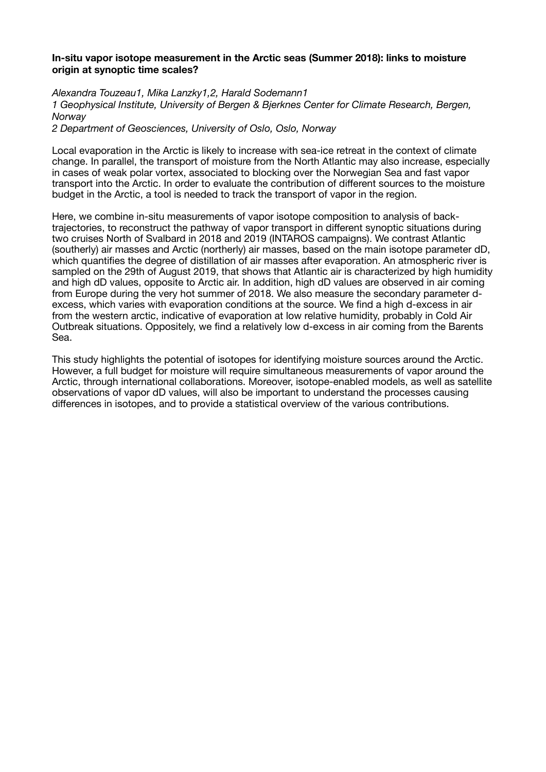## **In-situ vapor isotope measurement in the Arctic seas (Summer 2018): links to moisture origin at synoptic time scales?**

*Alexandra Touzeau1, Mika Lanzky1,2, Harald Sodemann1 1 Geophysical Institute, University of Bergen & Bjerknes Center for Climate Research, Bergen, Norway* 

*2 Department of Geosciences, University of Oslo, Oslo, Norway*

Local evaporation in the Arctic is likely to increase with sea-ice retreat in the context of climate change. In parallel, the transport of moisture from the North Atlantic may also increase, especially in cases of weak polar vortex, associated to blocking over the Norwegian Sea and fast vapor transport into the Arctic. In order to evaluate the contribution of different sources to the moisture budget in the Arctic, a tool is needed to track the transport of vapor in the region.

Here, we combine in-situ measurements of vapor isotope composition to analysis of backtrajectories, to reconstruct the pathway of vapor transport in different synoptic situations during two cruises North of Svalbard in 2018 and 2019 (INTAROS campaigns). We contrast Atlantic (southerly) air masses and Arctic (northerly) air masses, based on the main isotope parameter dD, which quantifies the degree of distillation of air masses after evaporation. An atmospheric river is sampled on the 29th of August 2019, that shows that Atlantic air is characterized by high humidity and high dD values, opposite to Arctic air. In addition, high dD values are observed in air coming from Europe during the very hot summer of 2018. We also measure the secondary parameter dexcess, which varies with evaporation conditions at the source. We find a high d-excess in air from the western arctic, indicative of evaporation at low relative humidity, probably in Cold Air Outbreak situations. Oppositely, we find a relatively low d-excess in air coming from the Barents Sea.

This study highlights the potential of isotopes for identifying moisture sources around the Arctic. However, a full budget for moisture will require simultaneous measurements of vapor around the Arctic, through international collaborations. Moreover, isotope-enabled models, as well as satellite observations of vapor dD values, will also be important to understand the processes causing differences in isotopes, and to provide a statistical overview of the various contributions.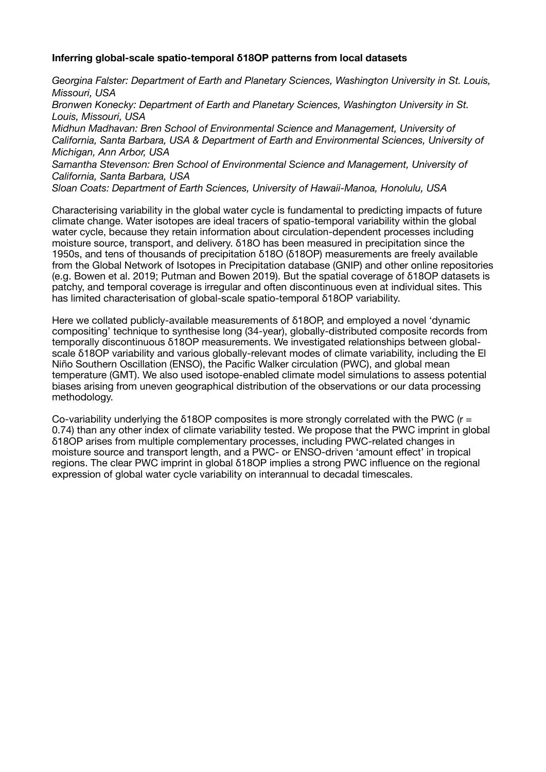# **Inferring global-scale spatio-temporal δ18OP patterns from local datasets**

*Georgina Falster: Department of Earth and Planetary Sciences, Washington University in St. Louis, Missouri, USA* 

*Bronwen Konecky: Department of Earth and Planetary Sciences, Washington University in St. Louis, Missouri, USA* 

*Midhun Madhavan: Bren School of Environmental Science and Management, University of California, Santa Barbara, USA & Department of Earth and Environmental Sciences, University of Michigan, Ann Arbor, USA* 

*Samantha Stevenson: Bren School of Environmental Science and Management, University of California, Santa Barbara, USA* 

*Sloan Coats: Department of Earth Sciences, University of Hawaii-Manoa, Honolulu, USA*

Characterising variability in the global water cycle is fundamental to predicting impacts of future climate change. Water isotopes are ideal tracers of spatio-temporal variability within the global water cycle, because they retain information about circulation-dependent processes including moisture source, transport, and delivery. δ18O has been measured in precipitation since the 1950s, and tens of thousands of precipitation δ18O (δ18OP) measurements are freely available from the Global Network of Isotopes in Precipitation database (GNIP) and other online repositories (e.g. Bowen et al. 2019; Putman and Bowen 2019). But the spatial coverage of δ18OP datasets is patchy, and temporal coverage is irregular and often discontinuous even at individual sites. This has limited characterisation of global-scale spatio-temporal δ18OP variability.

Here we collated publicly-available measurements of δ18OP, and employed a novel 'dynamic compositing' technique to synthesise long (34-year), globally-distributed composite records from temporally discontinuous δ18OP measurements. We investigated relationships between globalscale δ18OP variability and various globally-relevant modes of climate variability, including the El Niño Southern Oscillation (ENSO), the Pacific Walker circulation (PWC), and global mean temperature (GMT). We also used isotope-enabled climate model simulations to assess potential biases arising from uneven geographical distribution of the observations or our data processing methodology.

Co-variability underlying the  $\delta$ 18OP composites is more strongly correlated with the PWC ( $r =$ 0.74) than any other index of climate variability tested. We propose that the PWC imprint in global δ18OP arises from multiple complementary processes, including PWC-related changes in moisture source and transport length, and a PWC- or ENSO-driven 'amount effect' in tropical regions. The clear PWC imprint in global δ18OP implies a strong PWC influence on the regional expression of global water cycle variability on interannual to decadal timescales.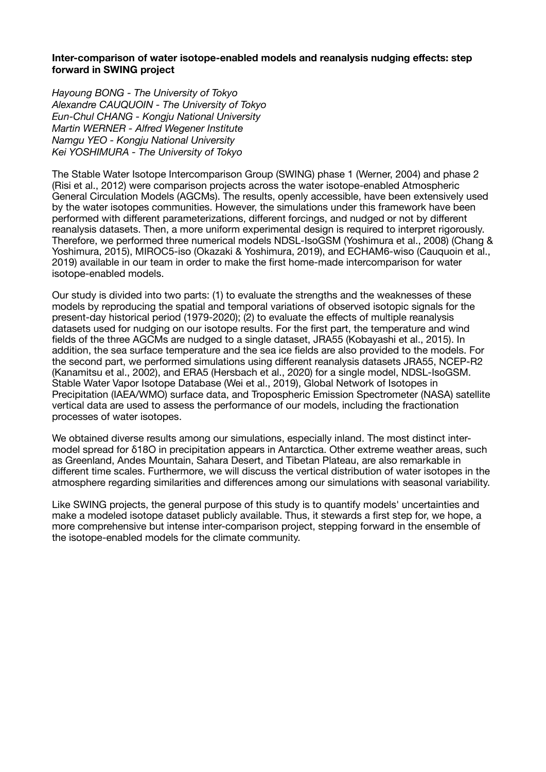# **Inter-comparison of water isotope-enabled models and reanalysis nudging effects: step forward in SWING project**

*Hayoung BONG - The University of Tokyo Alexandre CAUQUOIN - The University of Tokyo Eun-Chul CHANG - Kongju National University Martin WERNER - Alfred Wegener Institute Namgu YEO - Kongju National University Kei YOSHIMURA - The University of Tokyo*

The Stable Water Isotope Intercomparison Group (SWING) phase 1 (Werner, 2004) and phase 2 (Risi et al., 2012) were comparison projects across the water isotope-enabled Atmospheric General Circulation Models (AGCMs). The results, openly accessible, have been extensively used by the water isotopes communities. However, the simulations under this framework have been performed with different parameterizations, different forcings, and nudged or not by different reanalysis datasets. Then, a more uniform experimental design is required to interpret rigorously. Therefore, we performed three numerical models NDSL-IsoGSM (Yoshimura et al., 2008) (Chang & Yoshimura, 2015), MIROC5-iso (Okazaki & Yoshimura, 2019), and ECHAM6-wiso (Cauquoin et al., 2019) available in our team in order to make the first home-made intercomparison for water isotope-enabled models.

Our study is divided into two parts: (1) to evaluate the strengths and the weaknesses of these models by reproducing the spatial and temporal variations of observed isotopic signals for the present-day historical period (1979-2020); (2) to evaluate the effects of multiple reanalysis datasets used for nudging on our isotope results. For the first part, the temperature and wind fields of the three AGCMs are nudged to a single dataset, JRA55 (Kobayashi et al., 2015). In addition, the sea surface temperature and the sea ice fields are also provided to the models. For the second part, we performed simulations using different reanalysis datasets JRA55, NCEP-R2 (Kanamitsu et al., 2002), and ERA5 (Hersbach et al., 2020) for a single model, NDSL-IsoGSM. Stable Water Vapor Isotope Database (Wei et al., 2019), Global Network of Isotopes in Precipitation (IAEA/WMO) surface data, and Tropospheric Emission Spectrometer (NASA) satellite vertical data are used to assess the performance of our models, including the fractionation processes of water isotopes.

We obtained diverse results among our simulations, especially inland. The most distinct intermodel spread for δ18O in precipitation appears in Antarctica. Other extreme weather areas, such as Greenland, Andes Mountain, Sahara Desert, and Tibetan Plateau, are also remarkable in different time scales. Furthermore, we will discuss the vertical distribution of water isotopes in the atmosphere regarding similarities and differences among our simulations with seasonal variability.

Like SWING projects, the general purpose of this study is to quantify models' uncertainties and make a modeled isotope dataset publicly available. Thus, it stewards a first step for, we hope, a more comprehensive but intense inter-comparison project, stepping forward in the ensemble of the isotope-enabled models for the climate community.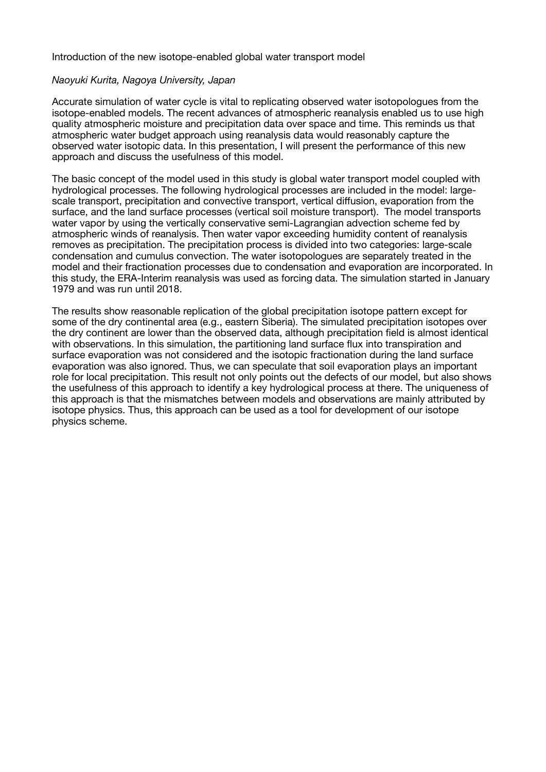#### Introduction of the new isotope-enabled global water transport model

#### *Naoyuki Kurita, Nagoya University, Japan*

Accurate simulation of water cycle is vital to replicating observed water isotopologues from the isotope-enabled models. The recent advances of atmospheric reanalysis enabled us to use high quality atmospheric moisture and precipitation data over space and time. This reminds us that atmospheric water budget approach using reanalysis data would reasonably capture the observed water isotopic data. In this presentation, I will present the performance of this new approach and discuss the usefulness of this model.

The basic concept of the model used in this study is global water transport model coupled with hydrological processes. The following hydrological processes are included in the model: largescale transport, precipitation and convective transport, vertical diffusion, evaporation from the surface, and the land surface processes (vertical soil moisture transport). The model transports water vapor by using the vertically conservative semi-Lagrangian advection scheme fed by atmospheric winds of reanalysis. Then water vapor exceeding humidity content of reanalysis removes as precipitation. The precipitation process is divided into two categories: large-scale condensation and cumulus convection. The water isotopologues are separately treated in the model and their fractionation processes due to condensation and evaporation are incorporated. In this study, the ERA-Interim reanalysis was used as forcing data. The simulation started in January 1979 and was run until 2018.

The results show reasonable replication of the global precipitation isotope pattern except for some of the dry continental area (e.g., eastern Siberia). The simulated precipitation isotopes over the dry continent are lower than the observed data, although precipitation field is almost identical with observations. In this simulation, the partitioning land surface flux into transpiration and surface evaporation was not considered and the isotopic fractionation during the land surface evaporation was also ignored. Thus, we can speculate that soil evaporation plays an important role for local precipitation. This result not only points out the defects of our model, but also shows the usefulness of this approach to identify a key hydrological process at there. The uniqueness of this approach is that the mismatches between models and observations are mainly attributed by isotope physics. Thus, this approach can be used as a tool for development of our isotope physics scheme.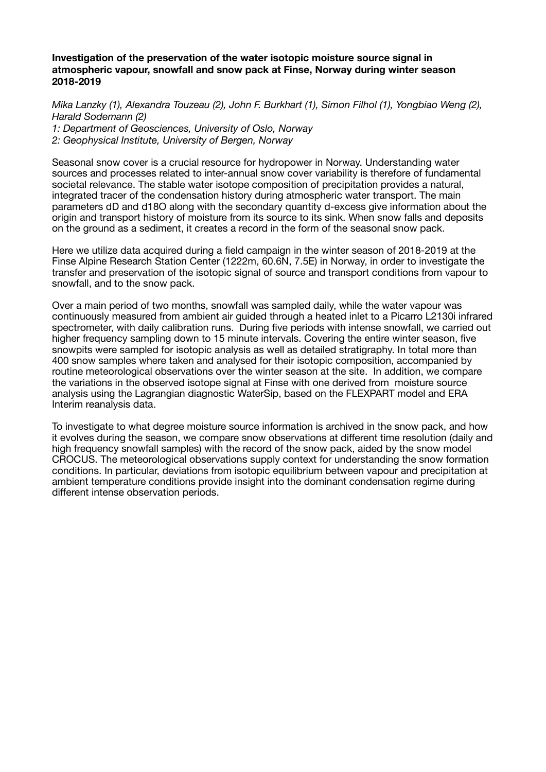# **Investigation of the preservation of the water isotopic moisture source signal in atmospheric vapour, snowfall and snow pack at Finse, Norway during winter season 2018-2019**

*Mika Lanzky (1), Alexandra Touzeau (2), John F. Burkhart (1), Simon Filhol (1), Yongbiao Weng (2), Harald Sodemann (2)* 

*1: Department of Geosciences, University of Oslo, Norway 2: Geophysical Institute, University of Bergen, Norway*

Seasonal snow cover is a crucial resource for hydropower in Norway. Understanding water sources and processes related to inter-annual snow cover variability is therefore of fundamental societal relevance. The stable water isotope composition of precipitation provides a natural, integrated tracer of the condensation history during atmospheric water transport. The main parameters dD and d18O along with the secondary quantity d-excess give information about the origin and transport history of moisture from its source to its sink. When snow falls and deposits on the ground as a sediment, it creates a record in the form of the seasonal snow pack.

Here we utilize data acquired during a field campaign in the winter season of 2018-2019 at the Finse Alpine Research Station Center (1222m, 60.6N, 7.5E) in Norway, in order to investigate the transfer and preservation of the isotopic signal of source and transport conditions from vapour to snowfall, and to the snow pack.

Over a main period of two months, snowfall was sampled daily, while the water vapour was continuously measured from ambient air guided through a heated inlet to a Picarro L2130i infrared spectrometer, with daily calibration runs. During five periods with intense snowfall, we carried out higher frequency sampling down to 15 minute intervals. Covering the entire winter season, five snowpits were sampled for isotopic analysis as well as detailed stratigraphy. In total more than 400 snow samples where taken and analysed for their isotopic composition, accompanied by routine meteorological observations over the winter season at the site. In addition, we compare the variations in the observed isotope signal at Finse with one derived from moisture source analysis using the Lagrangian diagnostic WaterSip, based on the FLEXPART model and ERA Interim reanalysis data.

To investigate to what degree moisture source information is archived in the snow pack, and how it evolves during the season, we compare snow observations at different time resolution (daily and high frequency snowfall samples) with the record of the snow pack, aided by the snow model CROCUS. The meteorological observations supply context for understanding the snow formation conditions. In particular, deviations from isotopic equilibrium between vapour and precipitation at ambient temperature conditions provide insight into the dominant condensation regime during different intense observation periods.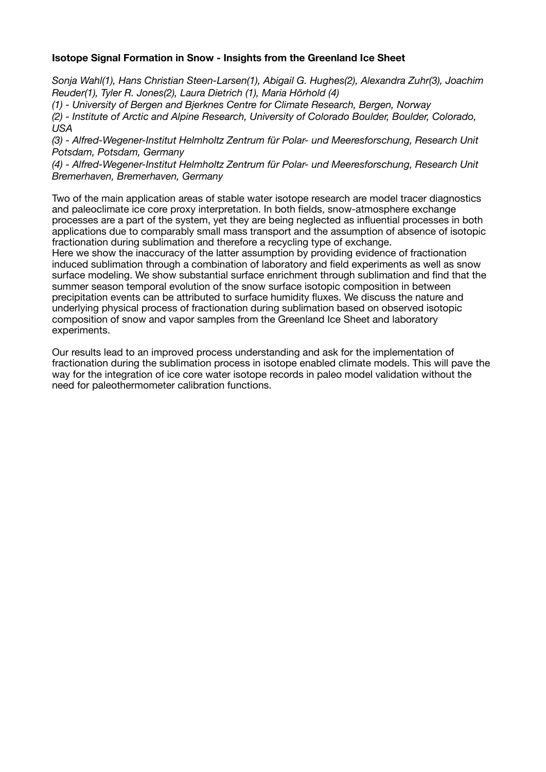# **Isotope Signal Formation in Snow - Insights from the Greenland Ice Sheet**

*Sonja Wahl(1), Hans Christian Steen-Larsen(1), Abigail G. Hughes(2), Alexandra Zuhr(3), Joachim Reuder(1), Tyler R. Jones(2), Laura Dietrich (1), Maria Hörhold (4)* 

*(1) - University of Bergen and Bjerknes Centre for Climate Research, Bergen, Norway* 

*(2) - Institute of Arctic and Alpine Research, University of Colorado Boulder, Boulder, Colorado, USA* 

*(3) - Alfred-Wegener-Institut Helmholtz Zentrum für Polar- und Meeresforschung, Research Unit Potsdam, Potsdam, Germany* 

*(4) - Alfred-Wegener-Institut Helmholtz Zentrum für Polar- und Meeresforschung, Research Unit Bremerhaven, Bremerhaven, Germany*

Two of the main application areas of stable water isotope research are model tracer diagnostics and paleoclimate ice core proxy interpretation. In both fields, snow-atmosphere exchange processes are a part of the system, yet they are being neglected as influential processes in both applications due to comparably small mass transport and the assumption of absence of isotopic fractionation during sublimation and therefore a recycling type of exchange.

Here we show the inaccuracy of the latter assumption by providing evidence of fractionation induced sublimation through a combination of laboratory and field experiments as well as snow surface modeling. We show substantial surface enrichment through sublimation and find that the summer season temporal evolution of the snow surface isotopic composition in between precipitation events can be attributed to surface humidity fluxes. We discuss the nature and underlying physical process of fractionation during sublimation based on observed isotopic composition of snow and vapor samples from the Greenland Ice Sheet and laboratory experiments.

Our results lead to an improved process understanding and ask for the implementation of fractionation during the sublimation process in isotope enabled climate models. This will pave the way for the integration of ice core water isotope records in paleo model validation without the need for paleothermometer calibration functions.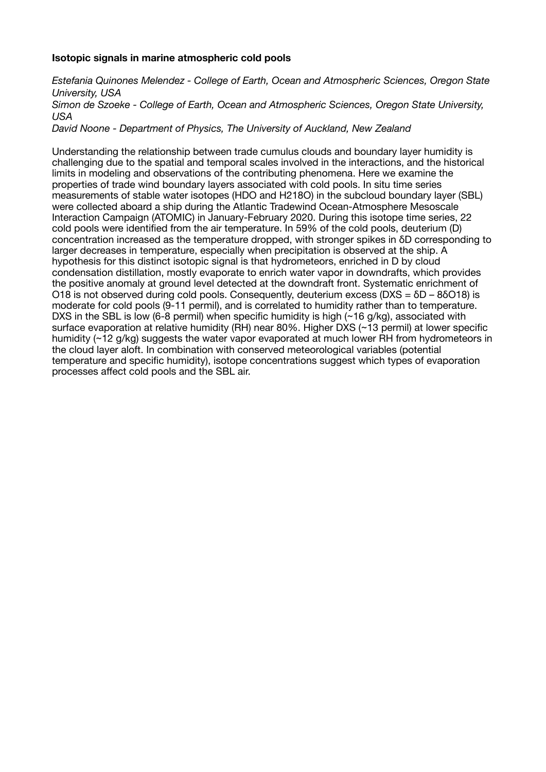# **Isotopic signals in marine atmospheric cold pools**

*Estefania Quinones Melendez - College of Earth, Ocean and Atmospheric Sciences, Oregon State University, USA Simon de Szoeke - College of Earth, Ocean and Atmospheric Sciences, Oregon State University, USA* 

*David Noone - Department of Physics, The University of Auckland, New Zealand*

Understanding the relationship between trade cumulus clouds and boundary layer humidity is challenging due to the spatial and temporal scales involved in the interactions, and the historical limits in modeling and observations of the contributing phenomena. Here we examine the properties of trade wind boundary layers associated with cold pools. In situ time series measurements of stable water isotopes (HDO and H218O) in the subcloud boundary layer (SBL) were collected aboard a ship during the Atlantic Tradewind Ocean-Atmosphere Mesoscale Interaction Campaign (ATOMIC) in January-February 2020. During this isotope time series, 22 cold pools were identified from the air temperature. In 59% of the cold pools, deuterium (D) concentration increased as the temperature dropped, with stronger spikes in δD corresponding to larger decreases in temperature, especially when precipitation is observed at the ship. A hypothesis for this distinct isotopic signal is that hydrometeors, enriched in D by cloud condensation distillation, mostly evaporate to enrich water vapor in downdrafts, which provides the positive anomaly at ground level detected at the downdraft front. Systematic enrichment of O18 is not observed during cold pools. Consequently, deuterium excess ( $DXS = \delta D - 8\delta O18$ ) is moderate for cold pools (9-11 permil), and is correlated to humidity rather than to temperature. DXS in the SBL is low (6-8 permil) when specific humidity is high (~16 g/kg), associated with surface evaporation at relative humidity (RH) near 80%. Higher DXS (~13 permil) at lower specific humidity (~12 g/kg) suggests the water vapor evaporated at much lower RH from hydrometeors in the cloud layer aloft. In combination with conserved meteorological variables (potential temperature and specific humidity), isotope concentrations suggest which types of evaporation processes affect cold pools and the SBL air.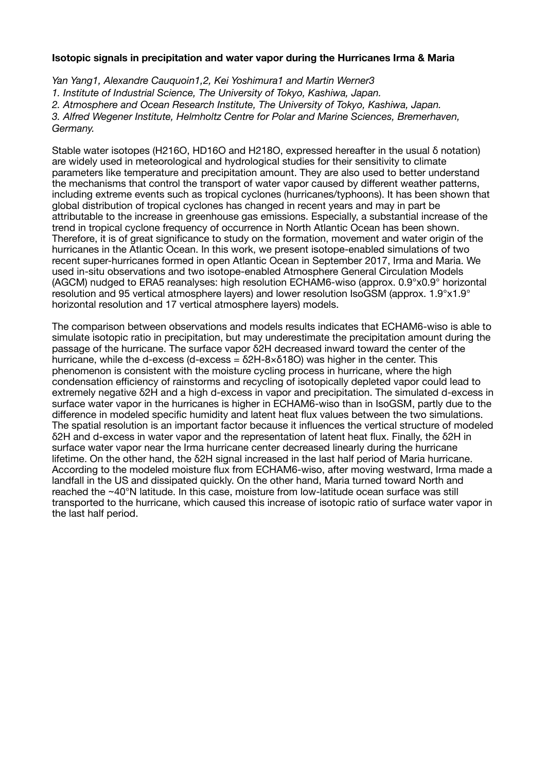# **Isotopic signals in precipitation and water vapor during the Hurricanes Irma & Maria**

*Yan Yang1, Alexandre Cauquoin1,2, Kei Yoshimura1 and Martin Werner3 1. Institute of Industrial Science, The University of Tokyo, Kashiwa, Japan. 2. Atmosphere and Ocean Research Institute, The University of Tokyo, Kashiwa, Japan. 3. Alfred Wegener Institute, Helmholtz Centre for Polar and Marine Sciences, Bremerhaven, Germany.*

Stable water isotopes (H216O, HD16O and H218O, expressed hereafter in the usual δ notation) are widely used in meteorological and hydrological studies for their sensitivity to climate parameters like temperature and precipitation amount. They are also used to better understand the mechanisms that control the transport of water vapor caused by different weather patterns, including extreme events such as tropical cyclones (hurricanes/typhoons). It has been shown that global distribution of tropical cyclones has changed in recent years and may in part be attributable to the increase in greenhouse gas emissions. Especially, a substantial increase of the trend in tropical cyclone frequency of occurrence in North Atlantic Ocean has been shown. Therefore, it is of great significance to study on the formation, movement and water origin of the hurricanes in the Atlantic Ocean. In this work, we present isotope-enabled simulations of two recent super-hurricanes formed in open Atlantic Ocean in September 2017, Irma and Maria. We used in-situ observations and two isotope-enabled Atmosphere General Circulation Models (AGCM) nudged to ERA5 reanalyses: high resolution ECHAM6-wiso (approx. 0.9°x0.9° horizontal resolution and 95 vertical atmosphere layers) and lower resolution IsoGSM (approx. 1.9°x1.9° horizontal resolution and 17 vertical atmosphere layers) models.

The comparison between observations and models results indicates that ECHAM6-wiso is able to simulate isotopic ratio in precipitation, but may underestimate the precipitation amount during the passage of the hurricane. The surface vapor δ2H decreased inward toward the center of the hurricane, while the d-excess (d-excess =  $\delta$ 2H-8× $\delta$ 18O) was higher in the center. This phenomenon is consistent with the moisture cycling process in hurricane, where the high condensation efficiency of rainstorms and recycling of isotopically depleted vapor could lead to extremely negative δ2H and a high d-excess in vapor and precipitation. The simulated d-excess in surface water vapor in the hurricanes is higher in ECHAM6-wiso than in IsoGSM, partly due to the difference in modeled specific humidity and latent heat flux values between the two simulations. The spatial resolution is an important factor because it influences the vertical structure of modeled δ2H and d-excess in water vapor and the representation of latent heat flux. Finally, the δ2H in surface water vapor near the Irma hurricane center decreased linearly during the hurricane lifetime. On the other hand, the δ2H signal increased in the last half period of Maria hurricane. According to the modeled moisture flux from ECHAM6-wiso, after moving westward, Irma made a landfall in the US and dissipated quickly. On the other hand, Maria turned toward North and reached the ~40°N latitude. In this case, moisture from low-latitude ocean surface was still transported to the hurricane, which caused this increase of isotopic ratio of surface water vapor in the last half period.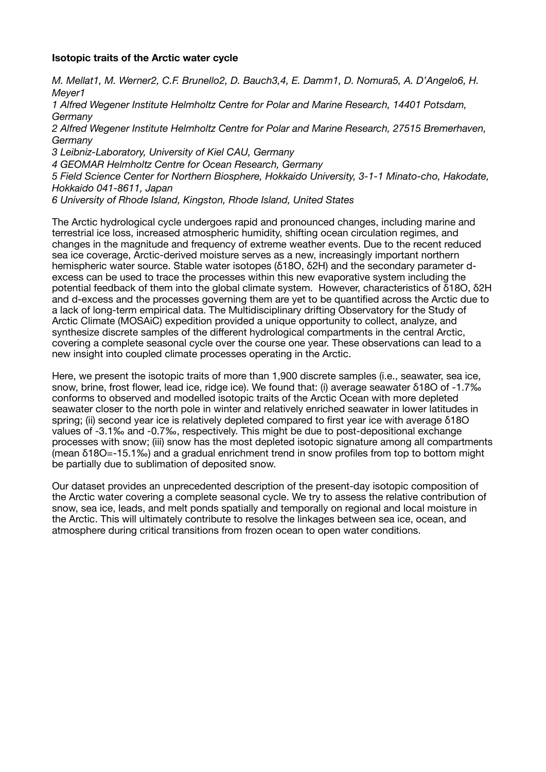# **Isotopic traits of the Arctic water cycle**

*M. Mellat1, M. Werner2, C.F. Brunello2, D. Bauch3,4, E. Damm1, D. Nomura5, A. D'Angelo6, H. Meyer1* 

*1 Alfred Wegener Institute Helmholtz Centre for Polar and Marine Research, 14401 Potsdam, Germany* 

*2 Alfred Wegener Institute Helmholtz Centre for Polar and Marine Research, 27515 Bremerhaven, Germany* 

*3 Leibniz-Laboratory, University of Kiel CAU, Germany* 

*4 GEOMAR Helmholtz Centre for Ocean Research, Germany* 

*5 Field Science Center for Northern Biosphere, Hokkaido University, 3-1-1 Minato-cho, Hakodate, Hokkaido 041-8611, Japan* 

*6 University of Rhode Island, Kingston, Rhode Island, United States*

The Arctic hydrological cycle undergoes rapid and pronounced changes, including marine and terrestrial ice loss, increased atmospheric humidity, shifting ocean circulation regimes, and changes in the magnitude and frequency of extreme weather events. Due to the recent reduced sea ice coverage, Arctic-derived moisture serves as a new, increasingly important northern hemispheric water source. Stable water isotopes (δ18O, δ2H) and the secondary parameter dexcess can be used to trace the processes within this new evaporative system including the potential feedback of them into the global climate system. However, characteristics of δ18O, δ2H and d-excess and the processes governing them are yet to be quantified across the Arctic due to a lack of long-term empirical data. The Multidisciplinary drifting Observatory for the Study of Arctic Climate (MOSAiC) expedition provided a unique opportunity to collect, analyze, and synthesize discrete samples of the different hydrological compartments in the central Arctic, covering a complete seasonal cycle over the course one year. These observations can lead to a new insight into coupled climate processes operating in the Arctic.

Here, we present the isotopic traits of more than 1,900 discrete samples (i.e., seawater, sea ice, snow, brine, frost flower, lead ice, ridge ice). We found that: (i) average seawater δ18O of -1.7‰ conforms to observed and modelled isotopic traits of the Arctic Ocean with more depleted seawater closer to the north pole in winter and relatively enriched seawater in lower latitudes in spring; (ii) second year ice is relatively depleted compared to first year ice with average δ18O values of -3.1‰ and -0.7‰, respectively. This might be due to post-depositional exchange processes with snow; (iii) snow has the most depleted isotopic signature among all compartments (mean δ18O=-15.1‰) and a gradual enrichment trend in snow profiles from top to bottom might be partially due to sublimation of deposited snow.

Our dataset provides an unprecedented description of the present-day isotopic composition of the Arctic water covering a complete seasonal cycle. We try to assess the relative contribution of snow, sea ice, leads, and melt ponds spatially and temporally on regional and local moisture in the Arctic. This will ultimately contribute to resolve the linkages between sea ice, ocean, and atmosphere during critical transitions from frozen ocean to open water conditions.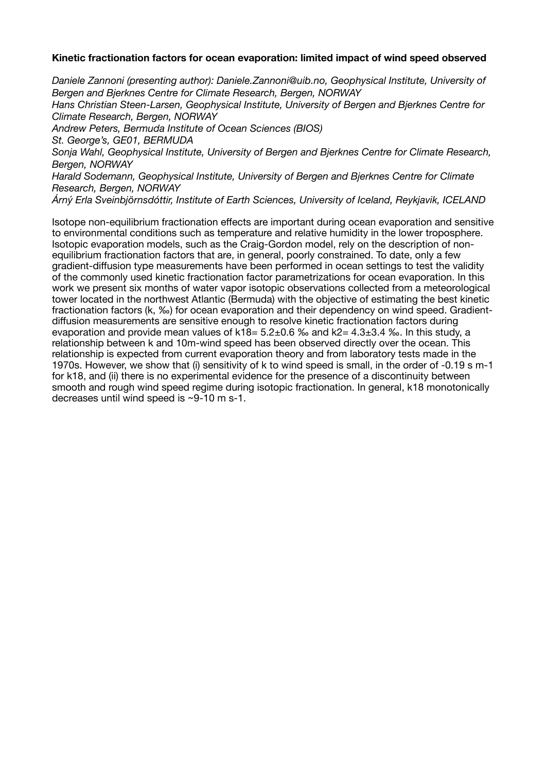# **Kinetic fractionation factors for ocean evaporation: limited impact of wind speed observed**

*Daniele Zannoni (presenting author): Daniele.Zannoni@uib.no, Geophysical Institute, University of Bergen and Bjerknes Centre for Climate Research, Bergen, NORWAY* 

*Hans Christian Steen-Larsen, Geophysical Institute, University of Bergen and Bjerknes Centre for Climate Research, Bergen, NORWAY* 

*Andrew Peters, Bermuda Institute of Ocean Sciences (BIOS)* 

*St. George's, GE01, BERMUDA* 

*Sonja Wahl, Geophysical Institute, University of Bergen and Bjerknes Centre for Climate Research, Bergen, NORWAY* 

*Harald Sodemann, Geophysical Institute, University of Bergen and Bjerknes Centre for Climate Research, Bergen, NORWAY* 

*Árný Erla Sveinbjörnsdóttir, Institute of Earth Sciences, University of Iceland, Reykjavik, ICELAND* 

Isotope non-equilibrium fractionation effects are important during ocean evaporation and sensitive to environmental conditions such as temperature and relative humidity in the lower troposphere. Isotopic evaporation models, such as the Craig-Gordon model, rely on the description of nonequilibrium fractionation factors that are, in general, poorly constrained. To date, only a few gradient-diffusion type measurements have been performed in ocean settings to test the validity of the commonly used kinetic fractionation factor parametrizations for ocean evaporation. In this work we present six months of water vapor isotopic observations collected from a meteorological tower located in the northwest Atlantic (Bermuda) with the objective of estimating the best kinetic fractionation factors (k, ‰) for ocean evaporation and their dependency on wind speed. Gradientdiffusion measurements are sensitive enough to resolve kinetic fractionation factors during evaporation and provide mean values of  $k18 = 5.2 \pm 0.6$  % and  $k2 = 4.3 \pm 3.4$  %. In this study, a relationship between k and 10m-wind speed has been observed directly over the ocean. This relationship is expected from current evaporation theory and from laboratory tests made in the 1970s. However, we show that (i) sensitivity of k to wind speed is small, in the order of -0.19 s m-1 for k18, and (ii) there is no experimental evidence for the presence of a discontinuity between smooth and rough wind speed regime during isotopic fractionation. In general, k18 monotonically decreases until wind speed is ~9-10 m s-1.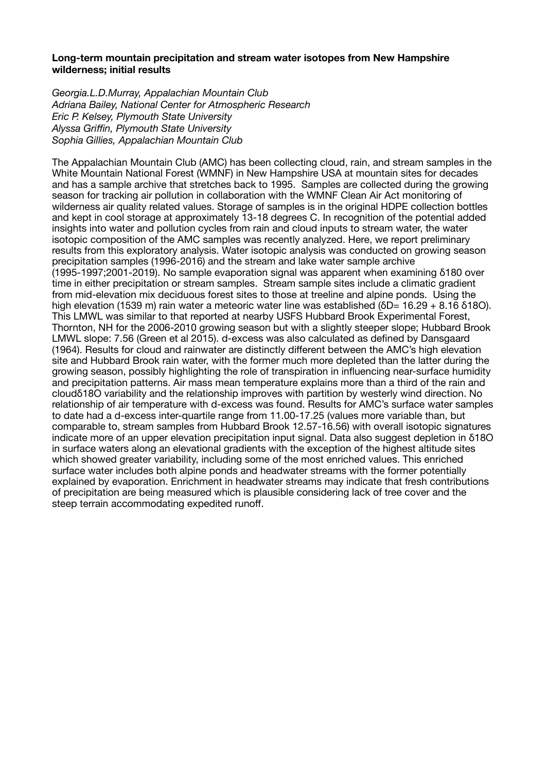## **Long-term mountain precipitation and stream water isotopes from New Hampshire wilderness; initial results**

*Georgia.L.D.Murray, Appalachian Mountain Club Adriana Bailey, National Center for Atmospheric Research Eric P. Kelsey, Plymouth State University Alyssa Griffin, Plymouth State University Sophia Gillies, Appalachian Mountain Club*

The Appalachian Mountain Club (AMC) has been collecting cloud, rain, and stream samples in the White Mountain National Forest (WMNF) in New Hampshire USA at mountain sites for decades and has a sample archive that stretches back to 1995. Samples are collected during the growing season for tracking air pollution in collaboration with the WMNF Clean Air Act monitoring of wilderness air quality related values. Storage of samples is in the original HDPE collection bottles and kept in cool storage at approximately 13-18 degrees C. In recognition of the potential added insights into water and pollution cycles from rain and cloud inputs to stream water, the water isotopic composition of the AMC samples was recently analyzed. Here, we report preliminary results from this exploratory analysis. Water isotopic analysis was conducted on growing season precipitation samples (1996-2016) and the stream and lake water sample archive (1995-1997;2001-2019). No sample evaporation signal was apparent when examining δ180 over time in either precipitation or stream samples. Stream sample sites include a climatic gradient from mid-elevation mix deciduous forest sites to those at treeline and alpine ponds. Using the high elevation (1539 m) rain water a meteoric water line was established (δD= 16.29 + 8.16 δ18O). This LMWL was similar to that reported at nearby USFS Hubbard Brook Experimental Forest, Thornton, NH for the 2006-2010 growing season but with a slightly steeper slope; Hubbard Brook LMWL slope: 7.56 (Green et al 2015). d-excess was also calculated as defined by Dansgaard (1964). Results for cloud and rainwater are distinctly different between the AMC's high elevation site and Hubbard Brook rain water, with the former much more depleted than the latter during the growing season, possibly highlighting the role of transpiration in influencing near-surface humidity and precipitation patterns. Air mass mean temperature explains more than a third of the rain and cloudδ18O variability and the relationship improves with partition by westerly wind direction. No relationship of air temperature with d-excess was found. Results for AMC's surface water samples to date had a d-excess inter-quartile range from 11.00-17.25 (values more variable than, but comparable to, stream samples from Hubbard Brook 12.57-16.56) with overall isotopic signatures indicate more of an upper elevation precipitation input signal. Data also suggest depletion in δ18O in surface waters along an elevational gradients with the exception of the highest altitude sites which showed greater variability, including some of the most enriched values. This enriched surface water includes both alpine ponds and headwater streams with the former potentially explained by evaporation. Enrichment in headwater streams may indicate that fresh contributions of precipitation are being measured which is plausible considering lack of tree cover and the steep terrain accommodating expedited runoff.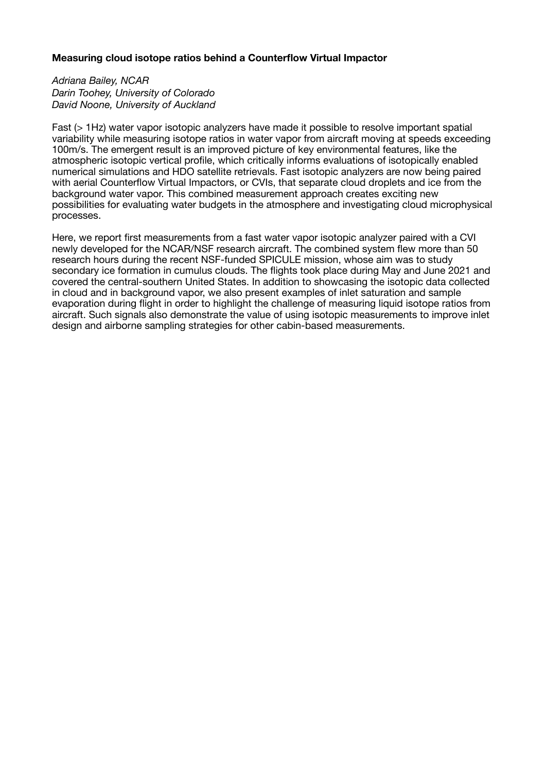# **Measuring cloud isotope ratios behind a Counterflow Virtual Impactor**

*Adriana Bailey, NCAR Darin Toohey, University of Colorado David Noone, University of Auckland*

Fast (> 1Hz) water vapor isotopic analyzers have made it possible to resolve important spatial variability while measuring isotope ratios in water vapor from aircraft moving at speeds exceeding 100m/s. The emergent result is an improved picture of key environmental features, like the atmospheric isotopic vertical profile, which critically informs evaluations of isotopically enabled numerical simulations and HDO satellite retrievals. Fast isotopic analyzers are now being paired with aerial Counterflow Virtual Impactors, or CVIs, that separate cloud droplets and ice from the background water vapor. This combined measurement approach creates exciting new possibilities for evaluating water budgets in the atmosphere and investigating cloud microphysical processes.

Here, we report first measurements from a fast water vapor isotopic analyzer paired with a CVI newly developed for the NCAR/NSF research aircraft. The combined system flew more than 50 research hours during the recent NSF-funded SPICULE mission, whose aim was to study secondary ice formation in cumulus clouds. The flights took place during May and June 2021 and covered the central-southern United States. In addition to showcasing the isotopic data collected in cloud and in background vapor, we also present examples of inlet saturation and sample evaporation during flight in order to highlight the challenge of measuring liquid isotope ratios from aircraft. Such signals also demonstrate the value of using isotopic measurements to improve inlet design and airborne sampling strategies for other cabin-based measurements.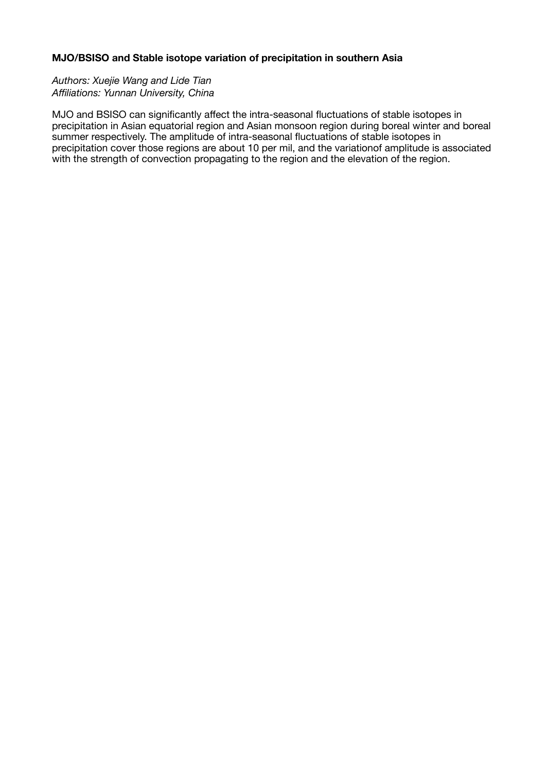# **MJO/BSISO and Stable isotope variation of precipitation in southern Asia**

*Authors: Xuejie Wang and Lide Tian Affiliations: Yunnan University, China*

MJO and BSISO can significantly affect the intra-seasonal fluctuations of stable isotopes in precipitation in Asian equatorial region and Asian monsoon region during boreal winter and boreal summer respectively. The amplitude of intra-seasonal fluctuations of stable isotopes in precipitation cover those regions are about 10 per mil, and the variationof amplitude is associated with the strength of convection propagating to the region and the elevation of the region.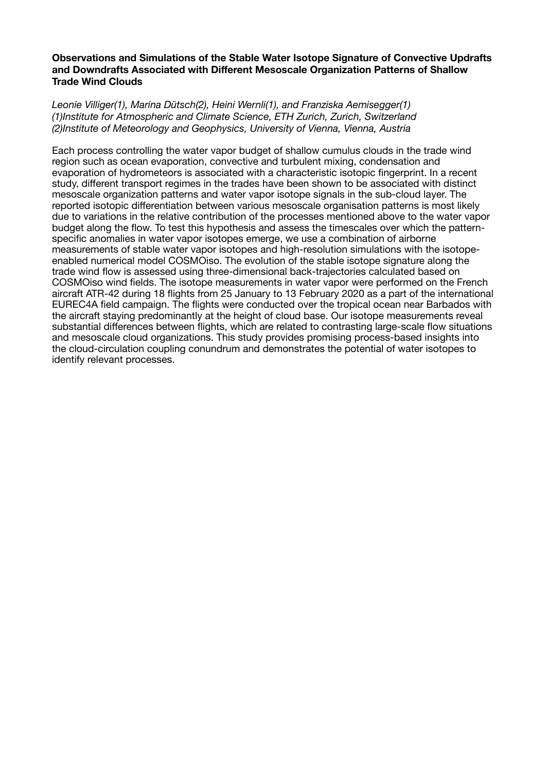# **Observations and Simulations of the Stable Water Isotope Signature of Convective Updrafts and Downdrafts Associated with Different Mesoscale Organization Patterns of Shallow Trade Wind Clouds**

*Leonie Villiger(1), Marina Dütsch(2), Heini Wernli(1), and Franziska Aemisegger(1) (1)Institute for Atmospheric and Climate Science, ETH Zurich, Zurich, Switzerland (2)Institute of Meteorology and Geophysics, University of Vienna, Vienna, Austria*

Each process controlling the water vapor budget of shallow cumulus clouds in the trade wind region such as ocean evaporation, convective and turbulent mixing, condensation and evaporation of hydrometeors is associated with a characteristic isotopic fingerprint. In a recent study, different transport regimes in the trades have been shown to be associated with distinct mesoscale organization patterns and water vapor isotope signals in the sub-cloud layer. The reported isotopic differentiation between various mesoscale organisation patterns is most likely due to variations in the relative contribution of the processes mentioned above to the water vapor budget along the flow. To test this hypothesis and assess the timescales over which the patternspecific anomalies in water vapor isotopes emerge, we use a combination of airborne measurements of stable water vapor isotopes and high-resolution simulations with the isotopeenabled numerical model COSMOiso. The evolution of the stable isotope signature along the trade wind flow is assessed using three-dimensional back-trajectories calculated based on COSMOiso wind fields. The isotope measurements in water vapor were performed on the French aircraft ATR-42 during 18 flights from 25 January to 13 February 2020 as a part of the international EUREC4A field campaign. The flights were conducted over the tropical ocean near Barbados with the aircraft staying predominantly at the height of cloud base. Our isotope measurements reveal substantial differences between flights, which are related to contrasting large-scale flow situations and mesoscale cloud organizations. This study provides promising process-based insights into the cloud-circulation coupling conundrum and demonstrates the potential of water isotopes to identify relevant processes.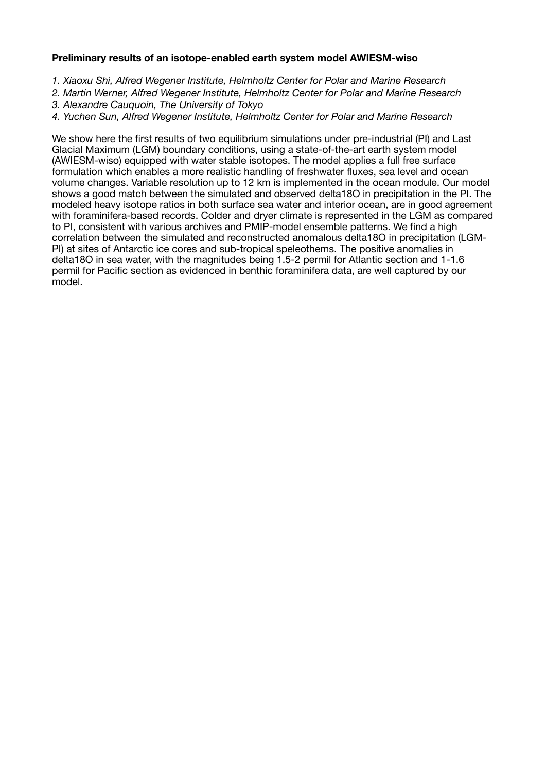# **Preliminary results of an isotope-enabled earth system model AWIESM-wiso**

- *1. Xiaoxu Shi, Alfred Wegener Institute, Helmholtz Center for Polar and Marine Research*
- *2. Martin Werner, Alfred Wegener Institute, Helmholtz Center for Polar and Marine Research*
- *3. Alexandre Cauquoin, The University of Tokyo*
- *4. Yuchen Sun, Alfred Wegener Institute, Helmholtz Center for Polar and Marine Research*

We show here the first results of two equilibrium simulations under pre-industrial (PI) and Last Glacial Maximum (LGM) boundary conditions, using a state-of-the-art earth system model (AWIESM-wiso) equipped with water stable isotopes. The model applies a full free surface formulation which enables a more realistic handling of freshwater fluxes, sea level and ocean volume changes. Variable resolution up to 12 km is implemented in the ocean module. Our model shows a good match between the simulated and observed delta18O in precipitation in the PI. The modeled heavy isotope ratios in both surface sea water and interior ocean, are in good agreement with foraminifera-based records. Colder and dryer climate is represented in the LGM as compared to PI, consistent with various archives and PMIP-model ensemble patterns. We find a high correlation between the simulated and reconstructed anomalous delta18O in precipitation (LGM-PI) at sites of Antarctic ice cores and sub-tropical speleothems. The positive anomalies in delta18O in sea water, with the magnitudes being 1.5-2 permil for Atlantic section and 1-1.6 permil for Pacific section as evidenced in benthic foraminifera data, are well captured by our model.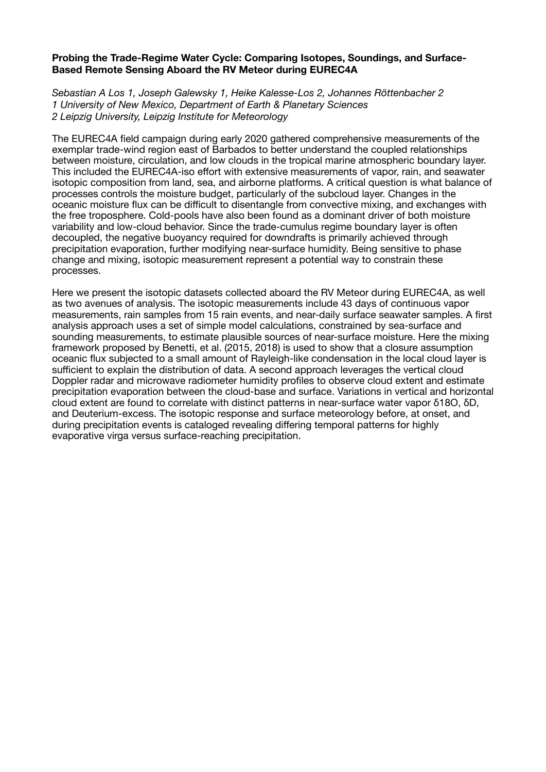## **Probing the Trade-Regime Water Cycle: Comparing Isotopes, Soundings, and Surface-Based Remote Sensing Aboard the RV Meteor during EUREC4A**

*Sebastian A Los 1, Joseph Galewsky 1, Heike Kalesse-Los 2, Johannes Röttenbacher 2 1 University of New Mexico, Department of Earth & Planetary Sciences 2 Leipzig University, Leipzig Institute for Meteorology*

The EUREC4A field campaign during early 2020 gathered comprehensive measurements of the exemplar trade-wind region east of Barbados to better understand the coupled relationships between moisture, circulation, and low clouds in the tropical marine atmospheric boundary layer. This included the EUREC4A-iso effort with extensive measurements of vapor, rain, and seawater isotopic composition from land, sea, and airborne platforms. A critical question is what balance of processes controls the moisture budget, particularly of the subcloud layer. Changes in the oceanic moisture flux can be difficult to disentangle from convective mixing, and exchanges with the free troposphere. Cold-pools have also been found as a dominant driver of both moisture variability and low-cloud behavior. Since the trade-cumulus regime boundary layer is often decoupled, the negative buoyancy required for downdrafts is primarily achieved through precipitation evaporation, further modifying near-surface humidity. Being sensitive to phase change and mixing, isotopic measurement represent a potential way to constrain these processes.

Here we present the isotopic datasets collected aboard the RV Meteor during EUREC4A, as well as two avenues of analysis. The isotopic measurements include 43 days of continuous vapor measurements, rain samples from 15 rain events, and near-daily surface seawater samples. A first analysis approach uses a set of simple model calculations, constrained by sea-surface and sounding measurements, to estimate plausible sources of near-surface moisture. Here the mixing framework proposed by Benetti, et al. (2015, 2018) is used to show that a closure assumption oceanic flux subjected to a small amount of Rayleigh-like condensation in the local cloud layer is sufficient to explain the distribution of data. A second approach leverages the vertical cloud Doppler radar and microwave radiometer humidity profiles to observe cloud extent and estimate precipitation evaporation between the cloud-base and surface. Variations in vertical and horizontal cloud extent are found to correlate with distinct patterns in near-surface water vapor δ18O, δD, and Deuterium-excess. The isotopic response and surface meteorology before, at onset, and during precipitation events is cataloged revealing differing temporal patterns for highly evaporative virga versus surface-reaching precipitation.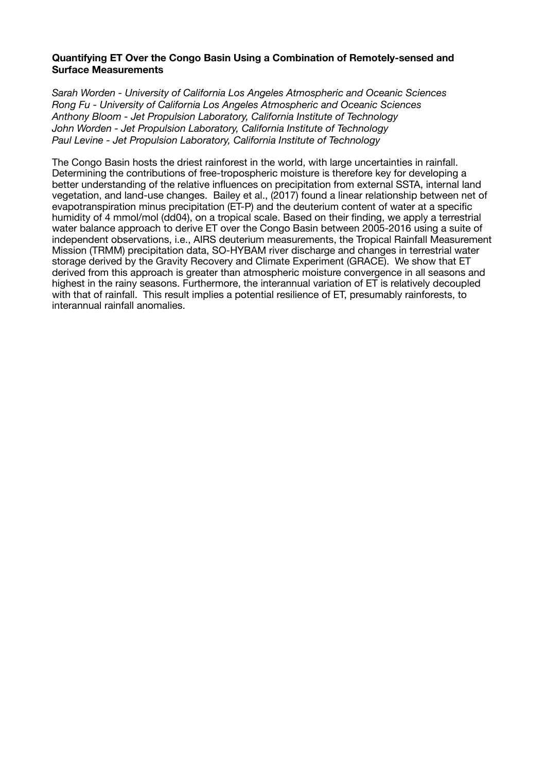# **Quantifying ET Over the Congo Basin Using a Combination of Remotely-sensed and Surface Measurements**

*Sarah Worden - University of California Los Angeles Atmospheric and Oceanic Sciences Rong Fu - University of California Los Angeles Atmospheric and Oceanic Sciences Anthony Bloom - Jet Propulsion Laboratory, California Institute of Technology John Worden - Jet Propulsion Laboratory, California Institute of Technology Paul Levine - Jet Propulsion Laboratory, California Institute of Technology* 

The Congo Basin hosts the driest rainforest in the world, with large uncertainties in rainfall. Determining the contributions of free-tropospheric moisture is therefore key for developing a better understanding of the relative influences on precipitation from external SSTA, internal land vegetation, and land-use changes. Bailey et al., (2017) found a linear relationship between net of evapotranspiration minus precipitation (ET-P) and the deuterium content of water at a specific humidity of 4 mmol/mol (dd04), on a tropical scale. Based on their finding, we apply a terrestrial water balance approach to derive ET over the Congo Basin between 2005-2016 using a suite of independent observations, i.e., AIRS deuterium measurements, the Tropical Rainfall Measurement Mission (TRMM) precipitation data, SO-HYBAM river discharge and changes in terrestrial water storage derived by the Gravity Recovery and Climate Experiment (GRACE). We show that ET derived from this approach is greater than atmospheric moisture convergence in all seasons and highest in the rainy seasons. Furthermore, the interannual variation of ET is relatively decoupled with that of rainfall. This result implies a potential resilience of ET, presumably rainforests, to interannual rainfall anomalies.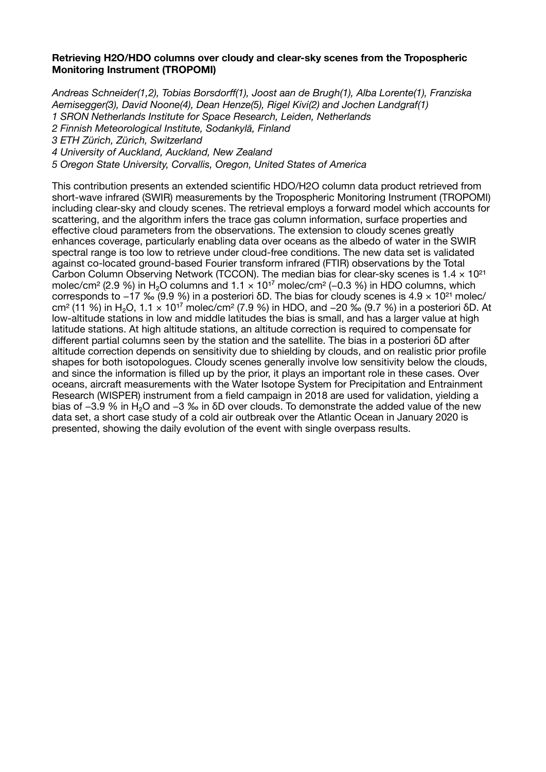## **Retrieving H2O/HDO columns over cloudy and clear-sky scenes from the Tropospheric Monitoring Instrument (TROPOMI)**

*Andreas Schneider(1,2), Tobias Borsdorff(1), Joost aan de Brugh(1), Alba Lorente(1), Franziska Aemisegger(3), David Noone(4), Dean Henze(5), Rigel Kivi(2) and Jochen Landgraf(1) 1 SRON Netherlands Institute for Space Research, Leiden, Netherlands 2 Finnish Meteorological Institute, Sodankylä, Finland 3 ETH Zürich, Zürich, Switzerland 4 University of Auckland, Auckland, New Zealand 5 Oregon State University, Corvallis, Oregon, United States of America*

This contribution presents an extended scientific HDO/H2O column data product retrieved from short-wave infrared (SWIR) measurements by the Tropospheric Monitoring Instrument (TROPOMI) including clear-sky and cloudy scenes. The retrieval employs a forward model which accounts for scattering, and the algorithm infers the trace gas column information, surface properties and effective cloud parameters from the observations. The extension to cloudy scenes greatly enhances coverage, particularly enabling data over oceans as the albedo of water in the SWIR spectral range is too low to retrieve under cloud-free conditions. The new data set is validated against co-located ground-based Fourier transform infrared (FTIR) observations by the Total Carbon Column Observing Network (TCCON). The median bias for clear-sky scenes is  $1.4 \times 10^{21}$ molec/cm² (2.9 %) in H<sub>2</sub>O columns and  $1.1 \times 10^{17}$  molec/cm² (−0.3 %) in HDO columns, which corresponds to  $-17$  ‰ (9.9 %) in a posteriori δD. The bias for cloudy scenes is  $4.9 \times 10^{21}$  molec/ cm² (11 %) in H<sub>2</sub>O, 1.1 × 10<sup>17</sup> molec/cm² (7.9 %) in HDO, and −20 ‰ (9.7 %) in a posteriori δD. At low-altitude stations in low and middle latitudes the bias is small, and has a larger value at high latitude stations. At high altitude stations, an altitude correction is required to compensate for different partial columns seen by the station and the satellite. The bias in a posteriori δD after altitude correction depends on sensitivity due to shielding by clouds, and on realistic prior profile shapes for both isotopologues. Cloudy scenes generally involve low sensitivity below the clouds, and since the information is filled up by the prior, it plays an important role in these cases. Over oceans, aircraft measurements with the Water Isotope System for Precipitation and Entrainment Research (WISPER) instrument from a field campaign in 2018 are used for validation, yielding a bias of −3.9 % in H<sub>2</sub>O and −3 ‰ in δD over clouds. To demonstrate the added value of the new data set, a short case study of a cold air outbreak over the Atlantic Ocean in January 2020 is presented, showing the daily evolution of the event with single overpass results.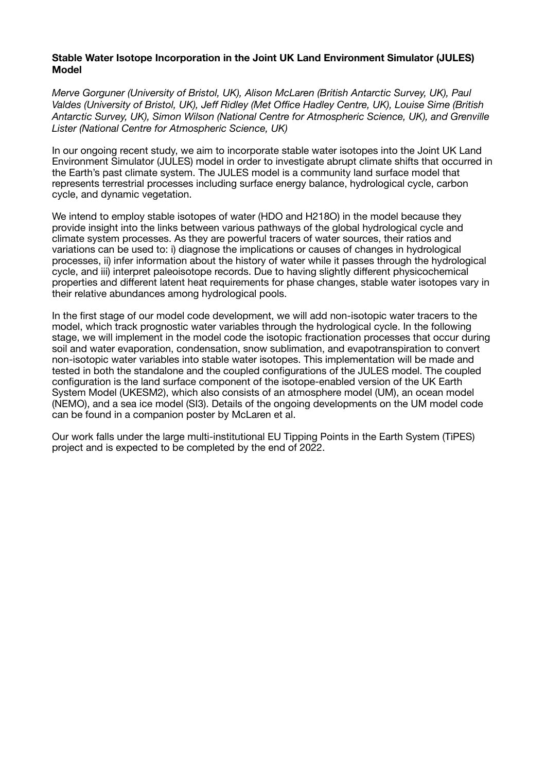# **Stable Water Isotope Incorporation in the Joint UK Land Environment Simulator (JULES) Model**

*Merve Gorguner (University of Bristol, UK), Alison McLaren (British Antarctic Survey, UK), Paul Valdes (University of Bristol, UK), Jeff Ridley (Met Office Hadley Centre, UK), Louise Sime (British Antarctic Survey, UK), Simon Wilson (National Centre for Atmospheric Science, UK), and Grenville Lister (National Centre for Atmospheric Science, UK)* 

In our ongoing recent study, we aim to incorporate stable water isotopes into the Joint UK Land Environment Simulator (JULES) model in order to investigate abrupt climate shifts that occurred in the Earth's past climate system. The JULES model is a community land surface model that represents terrestrial processes including surface energy balance, hydrological cycle, carbon cycle, and dynamic vegetation.

We intend to employ stable isotopes of water (HDO and H218O) in the model because they provide insight into the links between various pathways of the global hydrological cycle and climate system processes. As they are powerful tracers of water sources, their ratios and variations can be used to: i) diagnose the implications or causes of changes in hydrological processes, ii) infer information about the history of water while it passes through the hydrological cycle, and iii) interpret paleoisotope records. Due to having slightly different physicochemical properties and different latent heat requirements for phase changes, stable water isotopes vary in their relative abundances among hydrological pools.

In the first stage of our model code development, we will add non-isotopic water tracers to the model, which track prognostic water variables through the hydrological cycle. In the following stage, we will implement in the model code the isotopic fractionation processes that occur during soil and water evaporation, condensation, snow sublimation, and evapotranspiration to convert non-isotopic water variables into stable water isotopes. This implementation will be made and tested in both the standalone and the coupled configurations of the JULES model. The coupled configuration is the land surface component of the isotope-enabled version of the UK Earth System Model (UKESM2), which also consists of an atmosphere model (UM), an ocean model (NEMO), and a sea ice model (SI3). Details of the ongoing developments on the UM model code can be found in a companion poster by McLaren et al.

Our work falls under the large multi-institutional EU Tipping Points in the Earth System (TiPES) project and is expected to be completed by the end of 2022.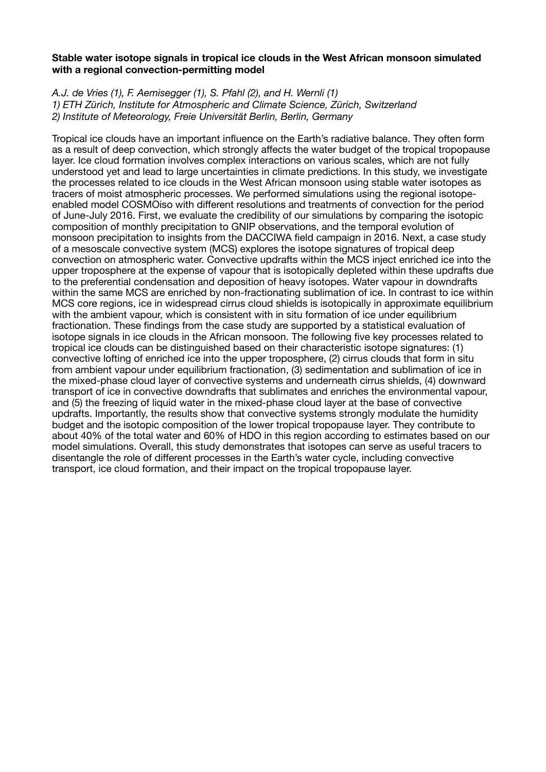# **Stable water isotope signals in tropical ice clouds in the West African monsoon simulated with a regional convection-permitting model**

*A.J. de Vries (1), F. Aemisegger (1), S. Pfahl (2), and H. Wernli (1) 1) ETH Zürich, Institute for Atmospheric and Climate Science, Zürich, Switzerland 2) Institute of Meteorology, Freie Universität Berlin, Berlin, Germany* 

Tropical ice clouds have an important influence on the Earth's radiative balance. They often form as a result of deep convection, which strongly affects the water budget of the tropical tropopause layer. Ice cloud formation involves complex interactions on various scales, which are not fully understood yet and lead to large uncertainties in climate predictions. In this study, we investigate the processes related to ice clouds in the West African monsoon using stable water isotopes as tracers of moist atmospheric processes. We performed simulations using the regional isotopeenabled model COSMOiso with different resolutions and treatments of convection for the period of June-July 2016. First, we evaluate the credibility of our simulations by comparing the isotopic composition of monthly precipitation to GNIP observations, and the temporal evolution of monsoon precipitation to insights from the DACCIWA field campaign in 2016. Next, a case study of a mesoscale convective system (MCS) explores the isotope signatures of tropical deep convection on atmospheric water. Convective updrafts within the MCS inject enriched ice into the upper troposphere at the expense of vapour that is isotopically depleted within these updrafts due to the preferential condensation and deposition of heavy isotopes. Water vapour in downdrafts within the same MCS are enriched by non-fractionating sublimation of ice. In contrast to ice within MCS core regions, ice in widespread cirrus cloud shields is isotopically in approximate equilibrium with the ambient vapour, which is consistent with in situ formation of ice under equilibrium fractionation. These findings from the case study are supported by a statistical evaluation of isotope signals in ice clouds in the African monsoon. The following five key processes related to tropical ice clouds can be distinguished based on their characteristic isotope signatures: (1) convective lofting of enriched ice into the upper troposphere, (2) cirrus clouds that form in situ from ambient vapour under equilibrium fractionation, (3) sedimentation and sublimation of ice in the mixed-phase cloud layer of convective systems and underneath cirrus shields, (4) downward transport of ice in convective downdrafts that sublimates and enriches the environmental vapour, and (5) the freezing of liquid water in the mixed-phase cloud layer at the base of convective updrafts. Importantly, the results show that convective systems strongly modulate the humidity budget and the isotopic composition of the lower tropical tropopause layer. They contribute to about 40% of the total water and 60% of HDO in this region according to estimates based on our model simulations. Overall, this study demonstrates that isotopes can serve as useful tracers to disentangle the role of different processes in the Earth's water cycle, including convective transport, ice cloud formation, and their impact on the tropical tropopause layer.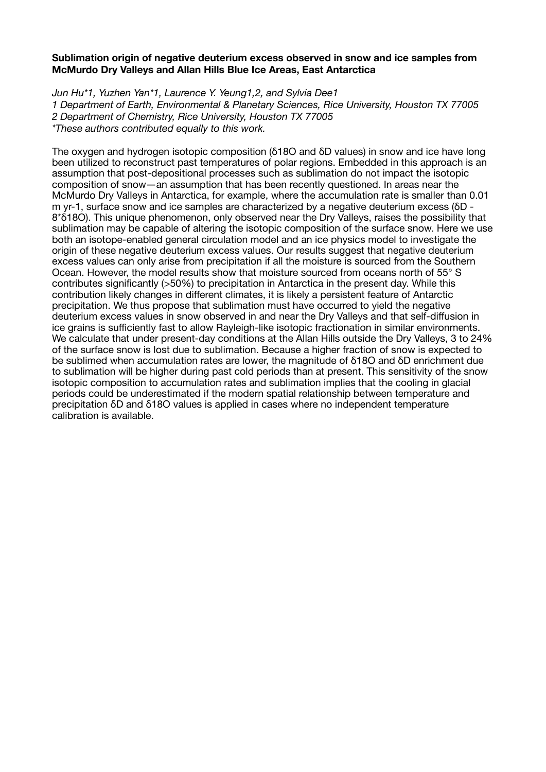# **Sublimation origin of negative deuterium excess observed in snow and ice samples from McMurdo Dry Valleys and Allan Hills Blue Ice Areas, East Antarctica**

*Jun Hu\*1, Yuzhen Yan\*1, Laurence Y. Yeung1,2, and Sylvia Dee1 1 Department of Earth, Environmental & Planetary Sciences, Rice University, Houston TX 77005 2 Department of Chemistry, Rice University, Houston TX 77005 \*These authors contributed equally to this work.* 

The oxygen and hydrogen isotopic composition (δ18O and δD values) in snow and ice have long been utilized to reconstruct past temperatures of polar regions. Embedded in this approach is an assumption that post-depositional processes such as sublimation do not impact the isotopic composition of snow―an assumption that has been recently questioned. In areas near the McMurdo Dry Valleys in Antarctica, for example, where the accumulation rate is smaller than 0.01 m yr-1, surface snow and ice samples are characterized by a negative deuterium excess (δD - 8\*δ18O). This unique phenomenon, only observed near the Dry Valleys, raises the possibility that sublimation may be capable of altering the isotopic composition of the surface snow. Here we use both an isotope-enabled general circulation model and an ice physics model to investigate the origin of these negative deuterium excess values. Our results suggest that negative deuterium excess values can only arise from precipitation if all the moisture is sourced from the Southern Ocean. However, the model results show that moisture sourced from oceans north of 55° S contributes significantly (>50%) to precipitation in Antarctica in the present day. While this contribution likely changes in different climates, it is likely a persistent feature of Antarctic precipitation. We thus propose that sublimation must have occurred to yield the negative deuterium excess values in snow observed in and near the Dry Valleys and that self-diffusion in ice grains is sufficiently fast to allow Rayleigh-like isotopic fractionation in similar environments. We calculate that under present-day conditions at the Allan Hills outside the Dry Valleys, 3 to 24% of the surface snow is lost due to sublimation. Because a higher fraction of snow is expected to be sublimed when accumulation rates are lower, the magnitude of δ18O and δD enrichment due to sublimation will be higher during past cold periods than at present. This sensitivity of the snow isotopic composition to accumulation rates and sublimation implies that the cooling in glacial periods could be underestimated if the modern spatial relationship between temperature and precipitation δD and δ18O values is applied in cases where no independent temperature calibration is available.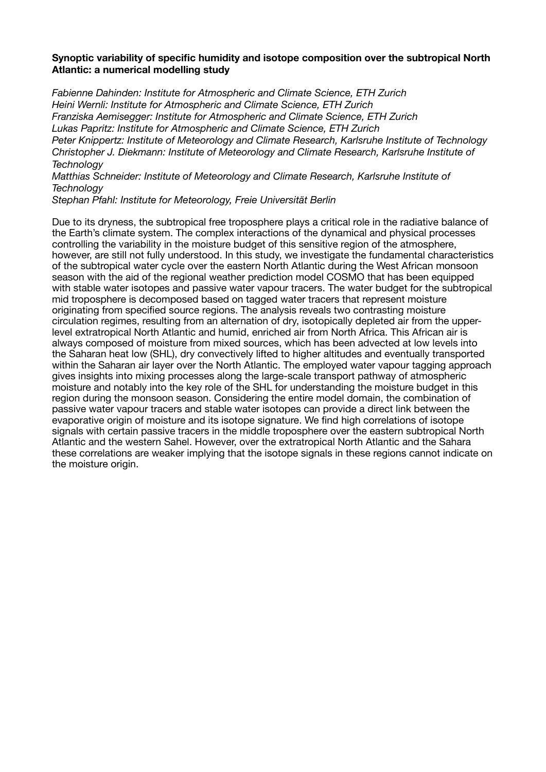# **Synoptic variability of specific humidity and isotope composition over the subtropical North Atlantic: a numerical modelling study**

*Fabienne Dahinden: Institute for Atmospheric and Climate Science, ETH Zurich Heini Wernli: Institute for Atmospheric and Climate Science, ETH Zurich Franziska Aemisegger: Institute for Atmospheric and Climate Science, ETH Zurich Lukas Papritz: Institute for Atmospheric and Climate Science, ETH Zurich Peter Knippertz: Institute of Meteorology and Climate Research, Karlsruhe Institute of Technology Christopher J. Diekmann: Institute of Meteorology and Climate Research, Karlsruhe Institute of Technology* 

*Matthias Schneider: Institute of Meteorology and Climate Research, Karlsruhe Institute of Technology* 

*Stephan Pfahl: Institute for Meteorology, Freie Universität Berlin*

Due to its dryness, the subtropical free troposphere plays a critical role in the radiative balance of the Earth's climate system. The complex interactions of the dynamical and physical processes controlling the variability in the moisture budget of this sensitive region of the atmosphere, however, are still not fully understood. In this study, we investigate the fundamental characteristics of the subtropical water cycle over the eastern North Atlantic during the West African monsoon season with the aid of the regional weather prediction model COSMO that has been equipped with stable water isotopes and passive water vapour tracers. The water budget for the subtropical mid troposphere is decomposed based on tagged water tracers that represent moisture originating from specified source regions. The analysis reveals two contrasting moisture circulation regimes, resulting from an alternation of dry, isotopically depleted air from the upperlevel extratropical North Atlantic and humid, enriched air from North Africa. This African air is always composed of moisture from mixed sources, which has been advected at low levels into the Saharan heat low (SHL), dry convectively lifted to higher altitudes and eventually transported within the Saharan air layer over the North Atlantic. The employed water vapour tagging approach gives insights into mixing processes along the large-scale transport pathway of atmospheric moisture and notably into the key role of the SHL for understanding the moisture budget in this region during the monsoon season. Considering the entire model domain, the combination of passive water vapour tracers and stable water isotopes can provide a direct link between the evaporative origin of moisture and its isotope signature. We find high correlations of isotope signals with certain passive tracers in the middle troposphere over the eastern subtropical North Atlantic and the western Sahel. However, over the extratropical North Atlantic and the Sahara these correlations are weaker implying that the isotope signals in these regions cannot indicate on the moisture origin.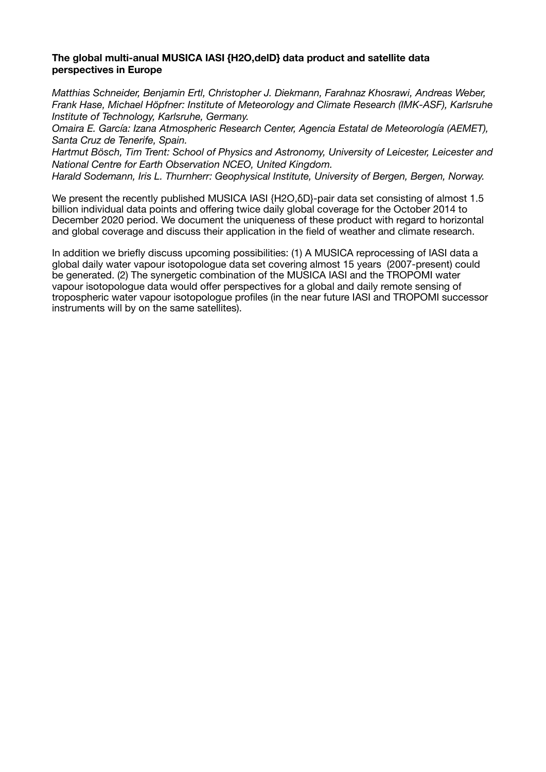# **The global multi-anual MUSICA IASI {H2O,delD} data product and satellite data perspectives in Europe**

*Matthias Schneider, Benjamin Ertl, Christopher J. Diekmann, Farahnaz Khosrawi, Andreas Weber, Frank Hase, Michael Höpfner: Institute of Meteorology and Climate Research (IMK-ASF), Karlsruhe Institute of Technology, Karlsruhe, Germany.* 

*Omaira E. García: Izana Atmospheric Research Center, Agencia Estatal de Meteorología (AEMET), Santa Cruz de Tenerife, Spain.* 

*Hartmut Bösch, Tim Trent: School of Physics and Astronomy, University of Leicester, Leicester and National Centre for Earth Observation NCEO, United Kingdom.* 

*Harald Sodemann, Iris L. Thurnherr: Geophysical Institute, University of Bergen, Bergen, Norway.* 

We present the recently published MUSICA IASI {H2O,δD}-pair data set consisting of almost 1.5 billion individual data points and offering twice daily global coverage for the October 2014 to December 2020 period. We document the uniqueness of these product with regard to horizontal and global coverage and discuss their application in the field of weather and climate research.

In addition we briefly discuss upcoming possibilities: (1) A MUSICA reprocessing of IASI data a global daily water vapour isotopologue data set covering almost 15 years (2007-present) could be generated. (2) The synergetic combination of the MUSICA IASI and the TROPOMI water vapour isotopologue data would offer perspectives for a global and daily remote sensing of tropospheric water vapour isotopologue profiles (in the near future IASI and TROPOMI successor instruments will by on the same satellites).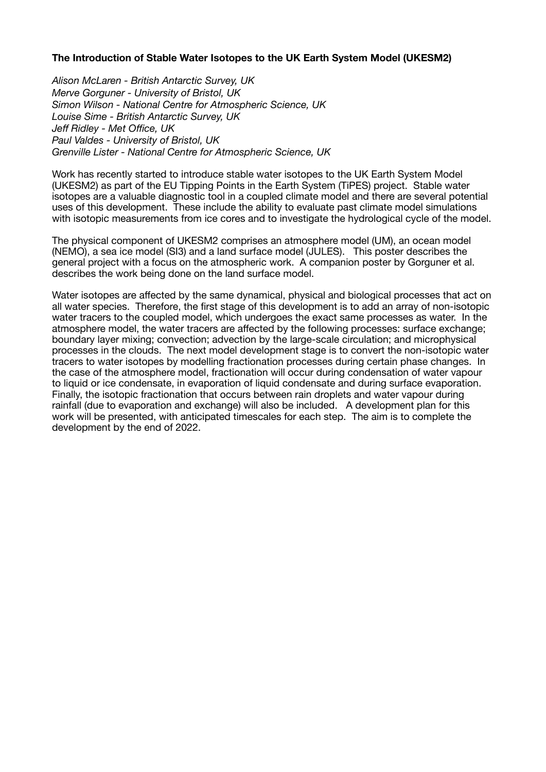# **The Introduction of Stable Water Isotopes to the UK Earth System Model (UKESM2)**

*Alison McLaren - British Antarctic Survey, UK Merve Gorguner - University of Bristol, UK Simon Wilson - National Centre for Atmospheric Science, UK Louise Sime - British Antarctic Survey, UK Jeff Ridley - Met Office, UK Paul Valdes - University of Bristol, UK Grenville Lister - National Centre for Atmospheric Science, UK*

Work has recently started to introduce stable water isotopes to the UK Earth System Model (UKESM2) as part of the EU Tipping Points in the Earth System (TiPES) project. Stable water isotopes are a valuable diagnostic tool in a coupled climate model and there are several potential uses of this development. These include the ability to evaluate past climate model simulations with isotopic measurements from ice cores and to investigate the hydrological cycle of the model.

The physical component of UKESM2 comprises an atmosphere model (UM), an ocean model (NEMO), a sea ice model (SI3) and a land surface model (JULES). This poster describes the general project with a focus on the atmospheric work. A companion poster by Gorguner et al. describes the work being done on the land surface model.

Water isotopes are affected by the same dynamical, physical and biological processes that act on all water species. Therefore, the first stage of this development is to add an array of non-isotopic water tracers to the coupled model, which undergoes the exact same processes as water. In the atmosphere model, the water tracers are affected by the following processes: surface exchange; boundary layer mixing; convection; advection by the large-scale circulation; and microphysical processes in the clouds. The next model development stage is to convert the non-isotopic water tracers to water isotopes by modelling fractionation processes during certain phase changes. In the case of the atmosphere model, fractionation will occur during condensation of water vapour to liquid or ice condensate, in evaporation of liquid condensate and during surface evaporation. Finally, the isotopic fractionation that occurs between rain droplets and water vapour during rainfall (due to evaporation and exchange) will also be included. A development plan for this work will be presented, with anticipated timescales for each step. The aim is to complete the development by the end of 2022.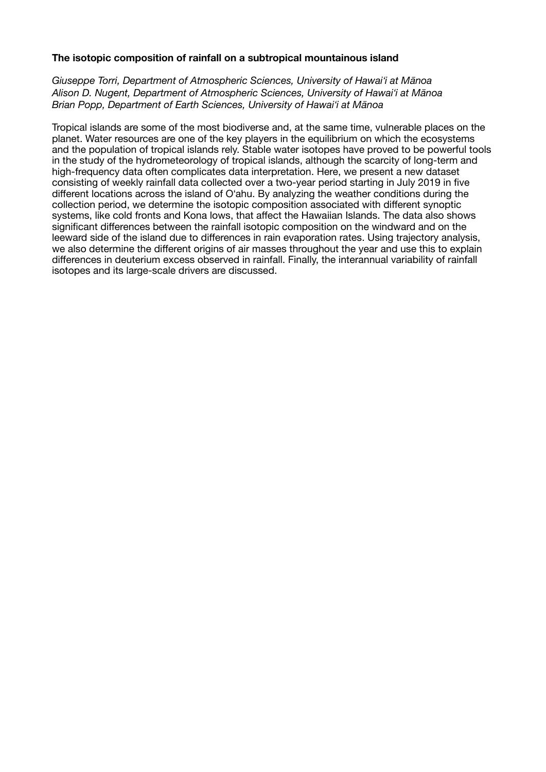# **The isotopic composition of rainfall on a subtropical mountainous island**

*Giuseppe Torri, Department of Atmospheric Sciences, University of Hawaiʻi at Mānoa Alison D. Nugent, Department of Atmospheric Sciences, University of Hawaiʻi at Mānoa Brian Popp, Department of Earth Sciences, University of Hawaiʻi at Mānoa*

Tropical islands are some of the most biodiverse and, at the same time, vulnerable places on the planet. Water resources are one of the key players in the equilibrium on which the ecosystems and the population of tropical islands rely. Stable water isotopes have proved to be powerful tools in the study of the hydrometeorology of tropical islands, although the scarcity of long-term and high-frequency data often complicates data interpretation. Here, we present a new dataset consisting of weekly rainfall data collected over a two-year period starting in July 2019 in five different locations across the island of Oʻahu. By analyzing the weather conditions during the collection period, we determine the isotopic composition associated with different synoptic systems, like cold fronts and Kona lows, that affect the Hawaiian Islands. The data also shows significant differences between the rainfall isotopic composition on the windward and on the leeward side of the island due to differences in rain evaporation rates. Using trajectory analysis, we also determine the different origins of air masses throughout the year and use this to explain differences in deuterium excess observed in rainfall. Finally, the interannual variability of rainfall isotopes and its large-scale drivers are discussed.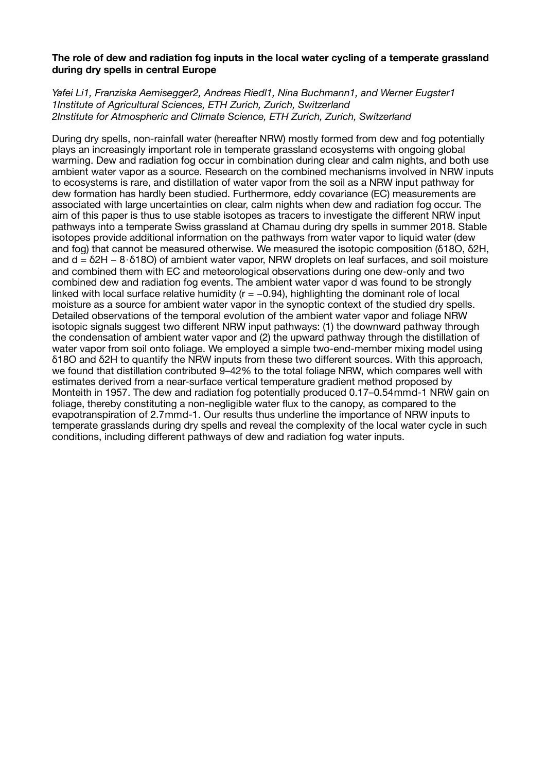# **The role of dew and radiation fog inputs in the local water cycling of a temperate grassland during dry spells in central Europe**

*Yafei Li1, Franziska Aemisegger2, Andreas Riedl1, Nina Buchmann1, and Werner Eugster1 1Institute of Agricultural Sciences, ETH Zurich, Zurich, Switzerland 2Institute for Atmospheric and Climate Science, ETH Zurich, Zurich, Switzerland* 

During dry spells, non-rainfall water (hereafter NRW) mostly formed from dew and fog potentially plays an increasingly important role in temperate grassland ecosystems with ongoing global warming. Dew and radiation fog occur in combination during clear and calm nights, and both use ambient water vapor as a source. Research on the combined mechanisms involved in NRW inputs to ecosystems is rare, and distillation of water vapor from the soil as a NRW input pathway for dew formation has hardly been studied. Furthermore, eddy covariance (EC) measurements are associated with large uncertainties on clear, calm nights when dew and radiation fog occur. The aim of this paper is thus to use stable isotopes as tracers to investigate the different NRW input pathways into a temperate Swiss grassland at Chamau during dry spells in summer 2018. Stable isotopes provide additional information on the pathways from water vapor to liquid water (dew and fog) that cannot be measured otherwise. We measured the isotopic composition (δ18O, δ2H, and d = δ2H − 8⋅δ18O) of ambient water vapor, NRW droplets on leaf surfaces, and soil moisture and combined them with EC and meteorological observations during one dew-only and two combined dew and radiation fog events. The ambient water vapor d was found to be strongly linked with local surface relative humidity ( $r = -0.94$ ), highlighting the dominant role of local moisture as a source for ambient water vapor in the synoptic context of the studied dry spells. Detailed observations of the temporal evolution of the ambient water vapor and foliage NRW isotopic signals suggest two different NRW input pathways: (1) the downward pathway through the condensation of ambient water vapor and (2) the upward pathway through the distillation of water vapor from soil onto foliage. We employed a simple two-end-member mixing model using δ18O and δ2H to quantify the NRW inputs from these two different sources. With this approach, we found that distillation contributed 9–42% to the total foliage NRW, which compares well with estimates derived from a near-surface vertical temperature gradient method proposed by Monteith in 1957. The dew and radiation fog potentially produced 0.17–0.54mmd-1 NRW gain on foliage, thereby constituting a non-negligible water flux to the canopy, as compared to the evapotranspiration of 2.7mmd-1. Our results thus underline the importance of NRW inputs to temperate grasslands during dry spells and reveal the complexity of the local water cycle in such conditions, including different pathways of dew and radiation fog water inputs.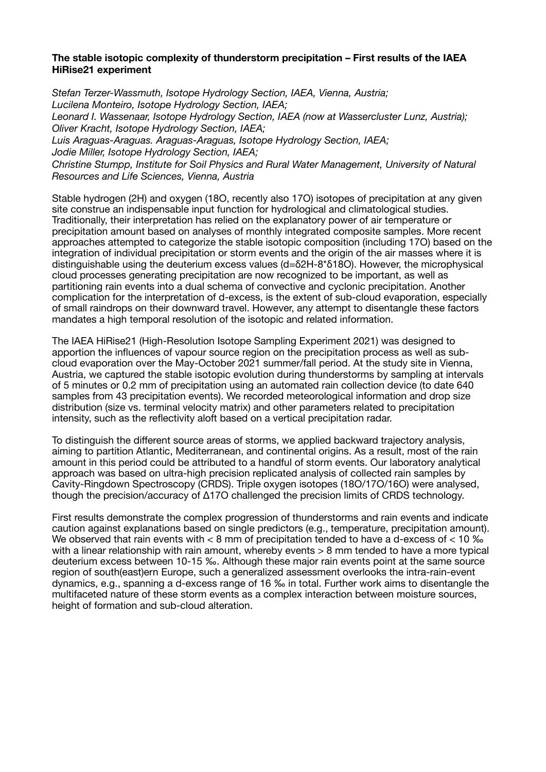# **The stable isotopic complexity of thunderstorm precipitation – First results of the IAEA HiRise21 experiment**

*Stefan Terzer-Wassmuth, Isotope Hydrology Section, IAEA, Vienna, Austria; Lucilena Monteiro, Isotope Hydrology Section, IAEA; Leonard I. Wassenaar, Isotope Hydrology Section, IAEA (now at Wassercluster Lunz, Austria); Oliver Kracht, Isotope Hydrology Section, IAEA; Luis Araguas-Araguas. Araguas-Araguas, Isotope Hydrology Section, IAEA; Jodie Miller, Isotope Hydrology Section, IAEA; Christine Stumpp, Institute for Soil Physics and Rural Water Management, University of Natural Resources and Life Sciences, Vienna, Austria* 

Stable hydrogen (2H) and oxygen (18O, recently also 17O) isotopes of precipitation at any given site construe an indispensable input function for hydrological and climatological studies. Traditionally, their interpretation has relied on the explanatory power of air temperature or precipitation amount based on analyses of monthly integrated composite samples. More recent approaches attempted to categorize the stable isotopic composition (including 17O) based on the integration of individual precipitation or storm events and the origin of the air masses where it is distinguishable using the deuterium excess values (d=δ2H-8\*δ18O). However, the microphysical cloud processes generating precipitation are now recognized to be important, as well as partitioning rain events into a dual schema of convective and cyclonic precipitation. Another complication for the interpretation of d-excess, is the extent of sub-cloud evaporation, especially of small raindrops on their downward travel. However, any attempt to disentangle these factors mandates a high temporal resolution of the isotopic and related information.

The IAEA HiRise21 (High-Resolution Isotope Sampling Experiment 2021) was designed to apportion the influences of vapour source region on the precipitation process as well as subcloud evaporation over the May-October 2021 summer/fall period. At the study site in Vienna, Austria, we captured the stable isotopic evolution during thunderstorms by sampling at intervals of 5 minutes or 0.2 mm of precipitation using an automated rain collection device (to date 640 samples from 43 precipitation events). We recorded meteorological information and drop size distribution (size vs. terminal velocity matrix) and other parameters related to precipitation intensity, such as the reflectivity aloft based on a vertical precipitation radar.

To distinguish the different source areas of storms, we applied backward trajectory analysis, aiming to partition Atlantic, Mediterranean, and continental origins. As a result, most of the rain amount in this period could be attributed to a handful of storm events. Our laboratory analytical approach was based on ultra-high precision replicated analysis of collected rain samples by Cavity-Ringdown Spectroscopy (CRDS). Triple oxygen isotopes (18O/17O/16O) were analysed, though the precision/accuracy of Δ17O challenged the precision limits of CRDS technology.

First results demonstrate the complex progression of thunderstorms and rain events and indicate caution against explanations based on single predictors (e.g., temperature, precipitation amount). We observed that rain events with  $<$  8 mm of precipitation tended to have a d-excess of  $<$  10  $\%$ with a linear relationship with rain amount, whereby events > 8 mm tended to have a more typical deuterium excess between 10-15 ‰. Although these major rain events point at the same source region of south(east)ern Europe, such a generalized assessment overlooks the intra-rain-event dynamics, e.g., spanning a d-excess range of 16 ‰ in total. Further work aims to disentangle the multifaceted nature of these storm events as a complex interaction between moisture sources, height of formation and sub-cloud alteration.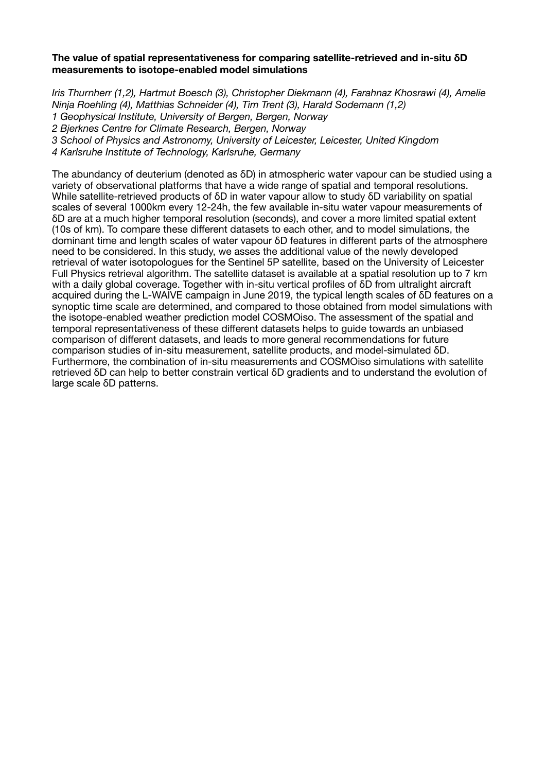## **The value of spatial representativeness for comparing satellite-retrieved and in-situ δD measurements to isotope-enabled model simulations**

*Iris Thurnherr (1,2), Hartmut Boesch (3), Christopher Diekmann (4), Farahnaz Khosrawi (4), Amelie Ninja Roehling (4), Matthias Schneider (4), Tim Trent (3), Harald Sodemann (1,2) 1 Geophysical Institute, University of Bergen, Bergen, Norway 2 Bjerknes Centre for Climate Research, Bergen, Norway 3 School of Physics and Astronomy, University of Leicester, Leicester, United Kingdom 4 Karlsruhe Institute of Technology, Karlsruhe, Germany*

The abundancy of deuterium (denoted as δD) in atmospheric water vapour can be studied using a variety of observational platforms that have a wide range of spatial and temporal resolutions. While satellite-retrieved products of δD in water vapour allow to study δD variability on spatial scales of several 1000km every 12-24h, the few available in-situ water vapour measurements of δD are at a much higher temporal resolution (seconds), and cover a more limited spatial extent (10s of km). To compare these different datasets to each other, and to model simulations, the dominant time and length scales of water vapour δD features in different parts of the atmosphere need to be considered. In this study, we asses the additional value of the newly developed retrieval of water isotopologues for the Sentinel 5P satellite, based on the University of Leicester Full Physics retrieval algorithm. The satellite dataset is available at a spatial resolution up to 7 km with a daily global coverage. Together with in-situ vertical profiles of δD from ultralight aircraft acquired during the L-WAIVE campaign in June 2019, the typical length scales of δD features on a synoptic time scale are determined, and compared to those obtained from model simulations with the isotope-enabled weather prediction model COSMOiso. The assessment of the spatial and temporal representativeness of these different datasets helps to guide towards an unbiased comparison of different datasets, and leads to more general recommendations for future comparison studies of in-situ measurement, satellite products, and model-simulated δD. Furthermore, the combination of in-situ measurements and COSMOiso simulations with satellite retrieved δD can help to better constrain vertical δD gradients and to understand the evolution of large scale δD patterns.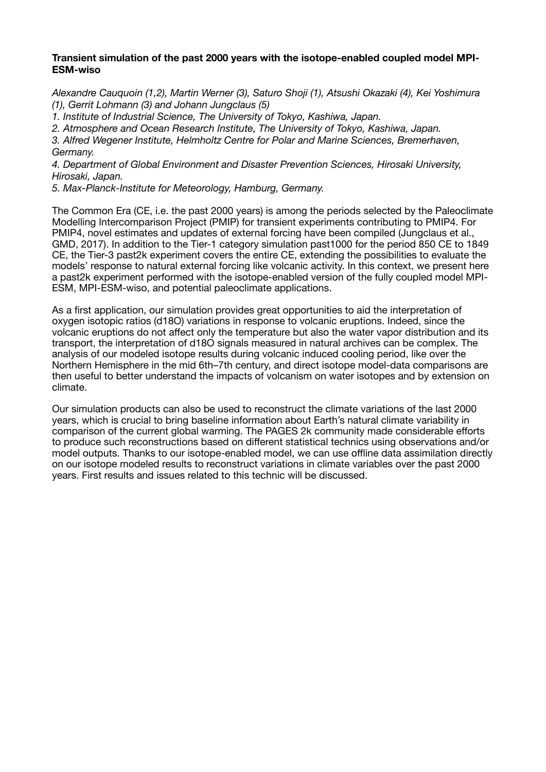# **Transient simulation of the past 2000 years with the isotope-enabled coupled model MPI-ESM-wiso**

*Alexandre Cauquoin (1,2), Martin Werner (3), Saturo Shoji (1), Atsushi Okazaki (4), Kei Yoshimura (1), Gerrit Lohmann (3) and Johann Jungclaus (5)* 

*1. Institute of Industrial Science, The University of Tokyo, Kashiwa, Japan.* 

*2. Atmosphere and Ocean Research Institute, The University of Tokyo, Kashiwa, Japan.* 

*3. Alfred Wegener Institute, Helmholtz Centre for Polar and Marine Sciences, Bremerhaven, Germany.* 

*4. Department of Global Environment and Disaster Prevention Sciences, Hirosaki University, Hirosaki, Japan.* 

*5. Max-Planck-Institute for Meteorology, Hamburg, Germany.*

The Common Era (CE, i.e. the past 2000 years) is among the periods selected by the Paleoclimate Modelling Intercomparison Project (PMIP) for transient experiments contributing to PMIP4. For PMIP4, novel estimates and updates of external forcing have been compiled (Jungclaus et al., GMD, 2017). In addition to the Tier-1 category simulation past1000 for the period 850 CE to 1849 CE, the Tier-3 past2k experiment covers the entire CE, extending the possibilities to evaluate the models' response to natural external forcing like volcanic activity. In this context, we present here a past2k experiment performed with the isotope-enabled version of the fully coupled model MPI-ESM, MPI-ESM-wiso, and potential paleoclimate applications.

As a first application, our simulation provides great opportunities to aid the interpretation of oxygen isotopic ratios (d18O) variations in response to volcanic eruptions. Indeed, since the volcanic eruptions do not affect only the temperature but also the water vapor distribution and its transport, the interpretation of d18O signals measured in natural archives can be complex. The analysis of our modeled isotope results during volcanic induced cooling period, like over the Northern Hemisphere in the mid 6th–7th century, and direct isotope model-data comparisons are then useful to better understand the impacts of volcanism on water isotopes and by extension on climate.

Our simulation products can also be used to reconstruct the climate variations of the last 2000 years, which is crucial to bring baseline information about Earth's natural climate variability in comparison of the current global warming. The PAGES 2k community made considerable efforts to produce such reconstructions based on different statistical technics using observations and/or model outputs. Thanks to our isotope-enabled model, we can use offline data assimilation directly on our isotope modeled results to reconstruct variations in climate variables over the past 2000 years. First results and issues related to this technic will be discussed.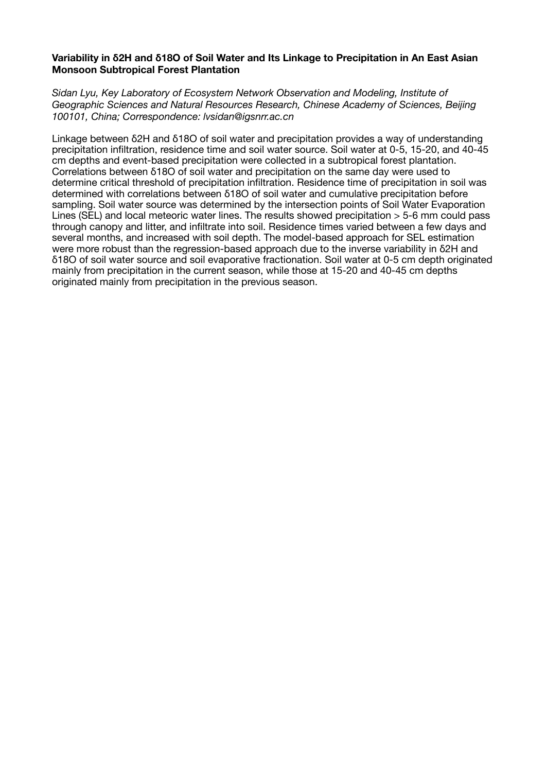# **Variability in δ2H and δ18O of Soil Water and Its Linkage to Precipitation in An East Asian Monsoon Subtropical Forest Plantation**

*Sidan Lyu, Key Laboratory of Ecosystem Network Observation and Modeling, Institute of Geographic Sciences and Natural Resources Research, Chinese Academy of Sciences, Beijing 100101, China; Correspondence: lvsidan@igsnrr.ac.cn*

Linkage between δ2H and δ18O of soil water and precipitation provides a way of understanding precipitation infiltration, residence time and soil water source. Soil water at 0-5, 15-20, and 40-45 cm depths and event-based precipitation were collected in a subtropical forest plantation. Correlations between δ18O of soil water and precipitation on the same day were used to determine critical threshold of precipitation infiltration. Residence time of precipitation in soil was determined with correlations between δ18O of soil water and cumulative precipitation before sampling. Soil water source was determined by the intersection points of Soil Water Evaporation Lines (SEL) and local meteoric water lines. The results showed precipitation  $>$  5-6 mm could pass through canopy and litter, and infiltrate into soil. Residence times varied between a few days and several months, and increased with soil depth. The model-based approach for SEL estimation were more robust than the regression-based approach due to the inverse variability in δ2H and δ18O of soil water source and soil evaporative fractionation. Soil water at 0-5 cm depth originated mainly from precipitation in the current season, while those at 15-20 and 40-45 cm depths originated mainly from precipitation in the previous season.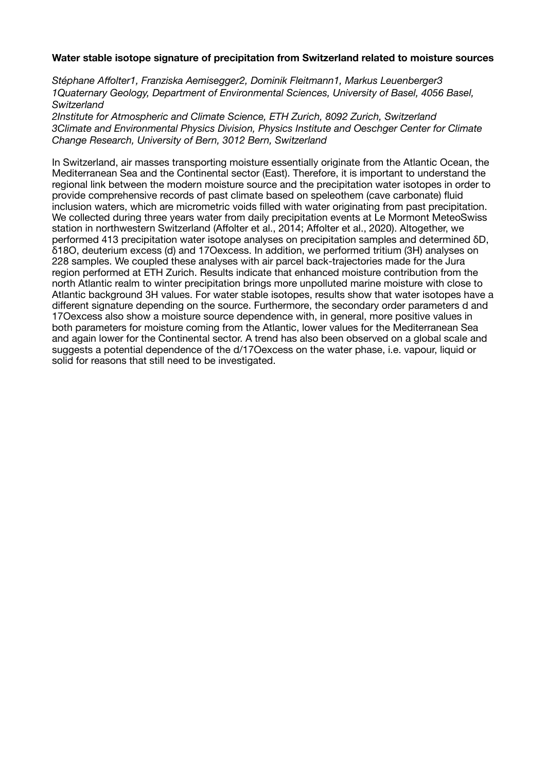## **Water stable isotope signature of precipitation from Switzerland related to moisture sources**

*Stéphane Affolter1, Franziska Aemisegger2, Dominik Fleitmann1, Markus Leuenberger3 1Quaternary Geology, Department of Environmental Sciences, University of Basel, 4056 Basel, Switzerland* 

*2Institute for Atmospheric and Climate Science, ETH Zurich, 8092 Zurich, Switzerland 3Climate and Environmental Physics Division, Physics Institute and Oeschger Center for Climate Change Research, University of Bern, 3012 Bern, Switzerland*

In Switzerland, air masses transporting moisture essentially originate from the Atlantic Ocean, the Mediterranean Sea and the Continental sector (East). Therefore, it is important to understand the regional link between the modern moisture source and the precipitation water isotopes in order to provide comprehensive records of past climate based on speleothem (cave carbonate) fluid inclusion waters, which are micrometric voids filled with water originating from past precipitation. We collected during three years water from daily precipitation events at Le Mormont MeteoSwiss station in northwestern Switzerland (Affolter et al., 2014; Affolter et al., 2020). Altogether, we performed 413 precipitation water isotope analyses on precipitation samples and determined δD, δ18O, deuterium excess (d) and 17Oexcess. In addition, we performed tritium (3H) analyses on 228 samples. We coupled these analyses with air parcel back-trajectories made for the Jura region performed at ETH Zurich. Results indicate that enhanced moisture contribution from the north Atlantic realm to winter precipitation brings more unpolluted marine moisture with close to Atlantic background 3H values. For water stable isotopes, results show that water isotopes have a different signature depending on the source. Furthermore, the secondary order parameters d and 17Oexcess also show a moisture source dependence with, in general, more positive values in both parameters for moisture coming from the Atlantic, lower values for the Mediterranean Sea and again lower for the Continental sector. A trend has also been observed on a global scale and suggests a potential dependence of the d/17Oexcess on the water phase, i.e. vapour, liquid or solid for reasons that still need to be investigated.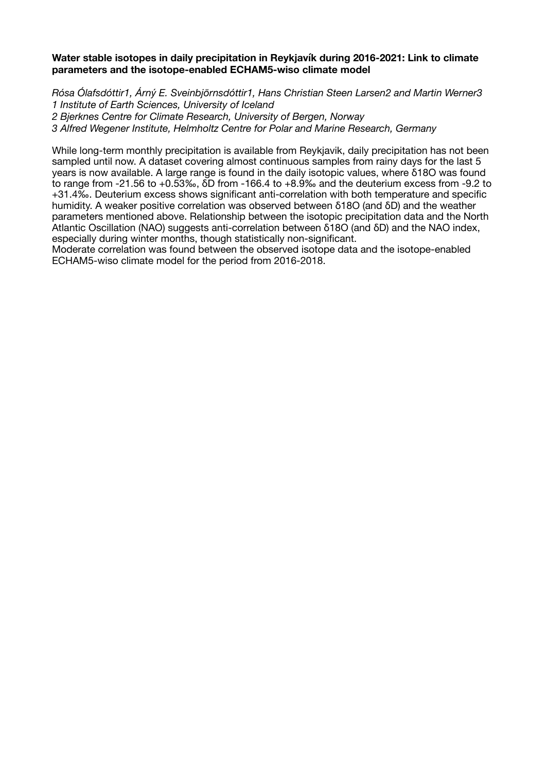## **Water stable isotopes in daily precipitation in Reykjavík during 2016-2021: Link to climate parameters and the isotope-enabled ECHAM5-wiso climate model**

*Rósa Ólafsdóttir1, Árný E. Sveinbjörnsdóttir1, Hans Christian Steen Larsen2 and Martin Werner3 1 Institute of Earth Sciences, University of Iceland 2 Bjerknes Centre for Climate Research, University of Bergen, Norway* 

*3 Alfred Wegener Institute, Helmholtz Centre for Polar and Marine Research, Germany*

While long-term monthly precipitation is available from Reykjavik, daily precipitation has not been sampled until now. A dataset covering almost continuous samples from rainy days for the last 5 years is now available. A large range is found in the daily isotopic values, where δ18O was found to range from -21.56 to +0.53‰, δD from -166.4 to +8.9‰ and the deuterium excess from -9.2 to +31.4‰. Deuterium excess shows significant anti-correlation with both temperature and specific humidity. A weaker positive correlation was observed between δ18O (and δD) and the weather parameters mentioned above. Relationship between the isotopic precipitation data and the North Atlantic Oscillation (NAO) suggests anti-correlation between δ18O (and δD) and the NAO index, especially during winter months, though statistically non-significant.

Moderate correlation was found between the observed isotope data and the isotope-enabled ECHAM5-wiso climate model for the period from 2016-2018.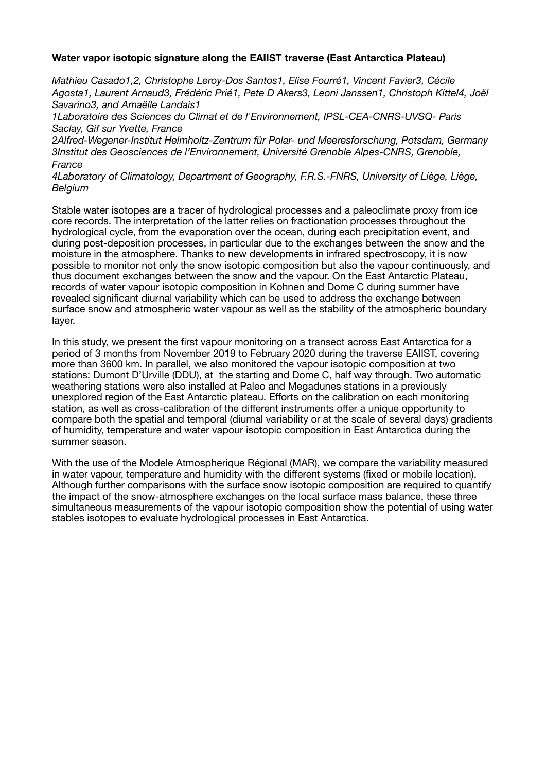# **Water vapor isotopic signature along the EAIIST traverse (East Antarctica Plateau)**

*Mathieu Casado1,2, Christophe Leroy-Dos Santos1, Elise Fourré1, Vincent Favier3, Cécile Agosta1, Laurent Arnaud3, Frédéric Prié1, Pete D Akers3, Leoni Janssen1, Christoph Kittel4, Joël Savarino3, and Amaëlle Landais1* 

*1Laboratoire des Sciences du Climat et de l'Environnement, IPSL-CEA-CNRS-UVSQ- Paris Saclay, Gif sur Yvette, France* 

*2Alfred-Wegener-Institut Helmholtz-Zentrum für Polar- und Meeresforschung, Potsdam, Germany 3Institut des Geosciences de l'Environnement, Université Grenoble Alpes-CNRS, Grenoble, France* 

*4Laboratory of Climatology, Department of Geography, F.R.S.-FNRS, University of Liège, Liège, Belgium*

Stable water isotopes are a tracer of hydrological processes and a paleoclimate proxy from ice core records. The interpretation of the latter relies on fractionation processes throughout the hydrological cycle, from the evaporation over the ocean, during each precipitation event, and during post-deposition processes, in particular due to the exchanges between the snow and the moisture in the atmosphere. Thanks to new developments in infrared spectroscopy, it is now possible to monitor not only the snow isotopic composition but also the vapour continuously, and thus document exchanges between the snow and the vapour. On the East Antarctic Plateau, records of water vapour isotopic composition in Kohnen and Dome C during summer have revealed significant diurnal variability which can be used to address the exchange between surface snow and atmospheric water vapour as well as the stability of the atmospheric boundary layer.

In this study, we present the first vapour monitoring on a transect across East Antarctica for a period of 3 months from November 2019 to February 2020 during the traverse EAIIST, covering more than 3600 km. In parallel, we also monitored the vapour isotopic composition at two stations: Dumont D'Urville (DDU), at the starting and Dome C, half way through. Two automatic weathering stations were also installed at Paleo and Megadunes stations in a previously unexplored region of the East Antarctic plateau. Efforts on the calibration on each monitoring station, as well as cross-calibration of the different instruments offer a unique opportunity to compare both the spatial and temporal (diurnal variability or at the scale of several days) gradients of humidity, temperature and water vapour isotopic composition in East Antarctica during the summer season.

With the use of the Modele Atmospherique Régional (MAR), we compare the variability measured in water vapour, temperature and humidity with the different systems (fixed or mobile location). Although further comparisons with the surface snow isotopic composition are required to quantify the impact of the snow-atmosphere exchanges on the local surface mass balance, these three simultaneous measurements of the vapour isotopic composition show the potential of using water stables isotopes to evaluate hydrological processes in East Antarctica.